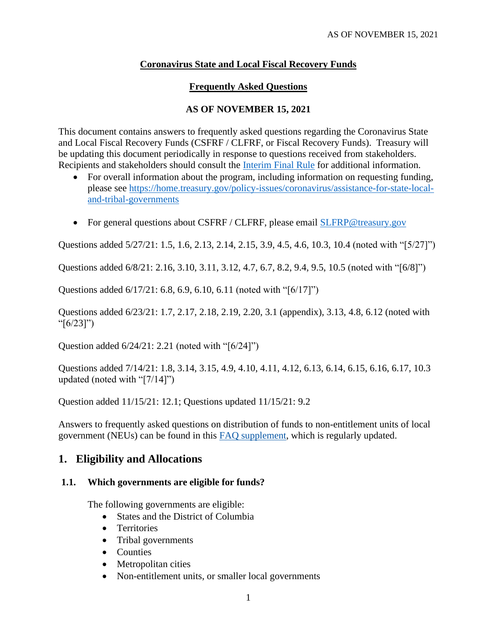# **Coronavirus State and Local Fiscal Recovery Funds**

# **Frequently Asked Questions**

## **AS OF NOVEMBER 15, 2021**

This document contains answers to frequently asked questions regarding the Coronavirus State and Local Fiscal Recovery Funds (CSFRF / CLFRF, or Fiscal Recovery Funds). Treasury will be updating this document periodically in response to questions received from stakeholders. Recipients and stakeholders should consult the [Interim Final Rule](https://www.govinfo.gov/content/pkg/FR-2021-05-17/pdf/2021-10283.pdf) for additional information.

- For overall information about the program, including information on requesting funding, please see [https://home.treasury.gov/policy-issues/coronavirus/assistance-for-state-local](https://home.treasury.gov/policy-issues/coronavirus/assistance-for-state-local-and-tribal-governments)[and-tribal-governments](https://home.treasury.gov/policy-issues/coronavirus/assistance-for-state-local-and-tribal-governments)
- For general questions about CSFRF / CLFRF, please email **SLFRP@treasury.gov**

Questions added 5/27/21: [1.5,](#page-2-0) [1.6,](#page-2-1) [2.13,](#page-7-0) [2.14,](#page-7-1) [2.15,](#page-8-0) [3.9,](#page-14-0) [4.5,](#page-18-0) [4.6,](#page-18-1) [10.3,](#page-37-0) [10.4](#page-38-0) (noted with "[5/27]")

Questions added 6/8/21: [2.16,](#page-8-1) [3.10,](#page-15-0) [3.11,](#page-15-1) [3.12,](#page-15-2) [4.7,](#page-19-0) [6.7,](#page-28-0) [8.2,](#page-33-0) [9.4,](#page-35-0) [9.5,](#page-36-0) [10.5](#page-38-1) (noted with "[6/8]")

Questions added 6/17/21: [6.8,](#page-28-1) [6.9,](#page-28-2) [6.10,](#page-29-0) [6.11](#page-29-1) (noted with "[6/17]")

Questions added 6/23/21: [1.7,](#page-2-2) [2.17,](#page-8-2) [2.18,](#page-10-0) [2.19,](#page-10-1) [2.20,](#page-11-0) [3.1](#page-12-0) [\(appendix\)](#page-42-0), [3.13,](#page-15-3) [4.8,](#page-20-0) [6.12](#page-30-0) (noted with "[6/23]")

Question added 6/24/21: [2.21](#page-11-1) (noted with "[6/24]")

Questions added 7/14/21: [1.8,](#page-2-3) [3.14,](#page-15-4) [3.15,](#page-17-0) [4.9,](#page-23-0) [4.10,](#page-23-1) [4.11,](#page-24-0) [4.12,](#page-25-0) [6.13,](#page-31-0) [6.14,](#page-31-1) [6.15,](#page-31-2) [6.16,](#page-31-3) [6.17,](#page-32-0) [10.3](#page-37-0) updated (noted with "[7/14]")

Question added 11/15/21: 12.1; Questions updated 11/15/21: 9.2

Answers to frequently asked questions on distribution of funds to non-entitlement units of local government (NEUs) can be found in this [FAQ supplement,](https://home.treasury.gov/system/files/136/NEU-FAQs.pdf) which is regularly updated.

# **1. Eligibility and Allocations**

## **1.1. Which governments are eligible for funds?**

The following governments are eligible:

- States and the District of Columbia
- Territories
- Tribal governments
- Counties
- Metropolitan cities
- Non-entitlement units, or smaller local governments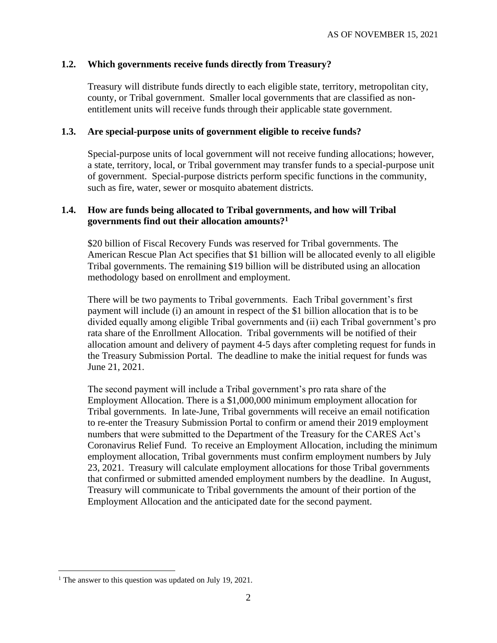#### **1.2. Which governments receive funds directly from Treasury?**

Treasury will distribute funds directly to each eligible state, territory, metropolitan city, county, or Tribal government. Smaller local governments that are classified as nonentitlement units will receive funds through their applicable state government.

#### **1.3. Are special-purpose units of government eligible to receive funds?**

Special-purpose units of local government will not receive funding allocations; however, a state, territory, local, or Tribal government may transfer funds to a special-purpose unit of government. Special-purpose districts perform specific functions in the community, such as fire, water, sewer or mosquito abatement districts.

#### **1.4. How are funds being allocated to Tribal governments, and how will Tribal governments find out their allocation amounts?<sup>1</sup>**

\$20 billion of Fiscal Recovery Funds was reserved for Tribal governments. The American Rescue Plan Act specifies that \$1 billion will be allocated evenly to all eligible Tribal governments. The remaining \$19 billion will be distributed using an allocation methodology based on enrollment and employment.

There will be two payments to Tribal governments. Each Tribal government's first payment will include (i) an amount in respect of the \$1 billion allocation that is to be divided equally among eligible Tribal governments and (ii) each Tribal government's pro rata share of the Enrollment Allocation. Tribal governments will be notified of their allocation amount and delivery of payment 4-5 days after completing request for funds in the Treasury Submission Portal. The deadline to make the initial request for funds was June 21, 2021.

The second payment will include a Tribal government's pro rata share of the Employment Allocation. There is a \$1,000,000 minimum employment allocation for Tribal governments. In late-June, Tribal governments will receive an email notification to re-enter the Treasury Submission Portal to confirm or amend their 2019 employment numbers that were submitted to the Department of the Treasury for the CARES Act's Coronavirus Relief Fund. To receive an Employment Allocation, including the minimum employment allocation, Tribal governments must confirm employment numbers by July 23, 2021. Treasury will calculate employment allocations for those Tribal governments that confirmed or submitted amended employment numbers by the deadline. In August, Treasury will communicate to Tribal governments the amount of their portion of the Employment Allocation and the anticipated date for the second payment.

<sup>&</sup>lt;sup>1</sup> The answer to this question was updated on July 19, 2021.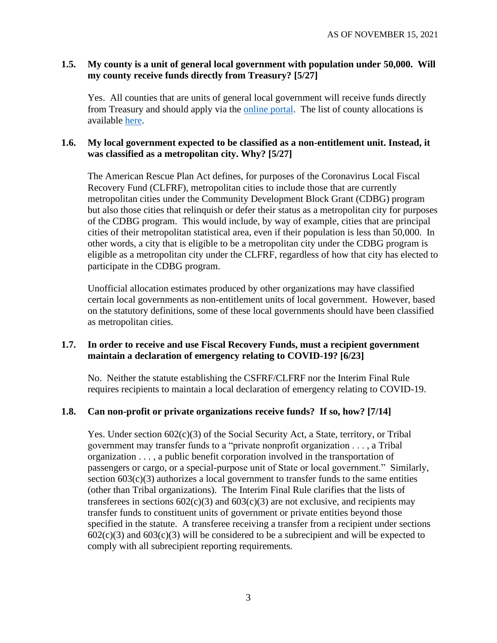#### <span id="page-2-0"></span>**1.5. My county is a unit of general local government with population under 50,000. Will my county receive funds directly from Treasury? [5/27]**

Yes. All counties that are units of general local government will receive funds directly from Treasury and should apply via the [online portal.](https://home.treasury.gov/policy-issues/coronavirus/assistance-for-state-local-and-tribal-governments/state-and-local-fiscal-recovery-fund/request-funding) The list of county allocations is available [here.](https://home.treasury.gov/system/files/136/fiscalrecoveryfunds_countyfunding_2021.05.10-1a-508A.pdf)

#### <span id="page-2-1"></span>**1.6. My local government expected to be classified as a non-entitlement unit. Instead, it was classified as a metropolitan city. Why? [5/27]**

The American Rescue Plan Act defines, for purposes of the Coronavirus Local Fiscal Recovery Fund (CLFRF), metropolitan cities to include those that are currently metropolitan cities under the Community Development Block Grant (CDBG) program but also those cities that relinquish or defer their status as a metropolitan city for purposes of the CDBG program. This would include, by way of example, cities that are principal cities of their metropolitan statistical area, even if their population is less than 50,000. In other words, a city that is eligible to be a metropolitan city under the CDBG program is eligible as a metropolitan city under the CLFRF, regardless of how that city has elected to participate in the CDBG program.

Unofficial allocation estimates produced by other organizations may have classified certain local governments as non-entitlement units of local government. However, based on the statutory definitions, some of these local governments should have been classified as metropolitan cities.

## <span id="page-2-2"></span>**1.7. In order to receive and use Fiscal Recovery Funds, must a recipient government maintain a declaration of emergency relating to COVID-19? [6/23]**

No. Neither the statute establishing the CSFRF/CLFRF nor the Interim Final Rule requires recipients to maintain a local declaration of emergency relating to COVID-19.

## <span id="page-2-3"></span>**1.8. Can non-profit or private organizations receive funds? If so, how? [7/14]**

Yes. Under section 602(c)(3) of the Social Security Act, a State, territory, or Tribal government may transfer funds to a "private nonprofit organization . . . , a Tribal organization . . . , a public benefit corporation involved in the transportation of passengers or cargo, or a special-purpose unit of State or local government." Similarly, section  $603(c)(3)$  authorizes a local government to transfer funds to the same entities (other than Tribal organizations). The Interim Final Rule clarifies that the lists of transferees in sections  $602(c)(3)$  and  $603(c)(3)$  are not exclusive, and recipients may transfer funds to constituent units of government or private entities beyond those specified in the statute. A transferee receiving a transfer from a recipient under sections  $602(c)(3)$  and  $603(c)(3)$  will be considered to be a subrecipient and will be expected to comply with all subrecipient reporting requirements.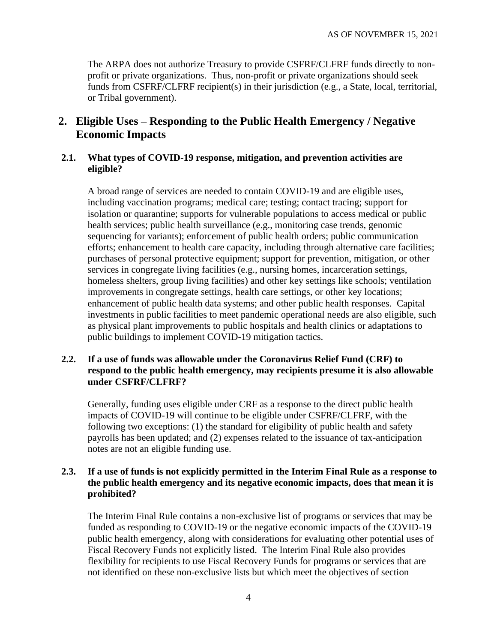The ARPA does not authorize Treasury to provide CSFRF/CLFRF funds directly to nonprofit or private organizations. Thus, non-profit or private organizations should seek funds from CSFRF/CLFRF recipient(s) in their jurisdiction (e.g., a State, local, territorial, or Tribal government).

# **2. Eligible Uses – Responding to the Public Health Emergency / Negative Economic Impacts**

## **2.1. What types of COVID-19 response, mitigation, and prevention activities are eligible?**

A broad range of services are needed to contain COVID-19 and are eligible uses, including vaccination programs; medical care; testing; contact tracing; support for isolation or quarantine; supports for vulnerable populations to access medical or public health services; public health surveillance (e.g., monitoring case trends, genomic sequencing for variants); enforcement of public health orders; public communication efforts; enhancement to health care capacity, including through alternative care facilities; purchases of personal protective equipment; support for prevention, mitigation, or other services in congregate living facilities (e.g., nursing homes, incarceration settings, homeless shelters, group living facilities) and other key settings like schools; ventilation improvements in congregate settings, health care settings, or other key locations; enhancement of public health data systems; and other public health responses. Capital investments in public facilities to meet pandemic operational needs are also eligible, such as physical plant improvements to public hospitals and health clinics or adaptations to public buildings to implement COVID-19 mitigation tactics.

### **2.2. If a use of funds was allowable under the Coronavirus Relief Fund (CRF) to respond to the public health emergency, may recipients presume it is also allowable under CSFRF/CLFRF?**

Generally, funding uses eligible under CRF as a response to the direct public health impacts of COVID-19 will continue to be eligible under CSFRF/CLFRF, with the following two exceptions: (1) the standard for eligibility of public health and safety payrolls has been updated; and (2) expenses related to the issuance of tax-anticipation notes are not an eligible funding use.

### **2.3. If a use of funds is not explicitly permitted in the Interim Final Rule as a response to the public health emergency and its negative economic impacts, does that mean it is prohibited?**

The Interim Final Rule contains a non-exclusive list of programs or services that may be funded as responding to COVID-19 or the negative economic impacts of the COVID-19 public health emergency, along with considerations for evaluating other potential uses of Fiscal Recovery Funds not explicitly listed. The Interim Final Rule also provides flexibility for recipients to use Fiscal Recovery Funds for programs or services that are not identified on these non-exclusive lists but which meet the objectives of section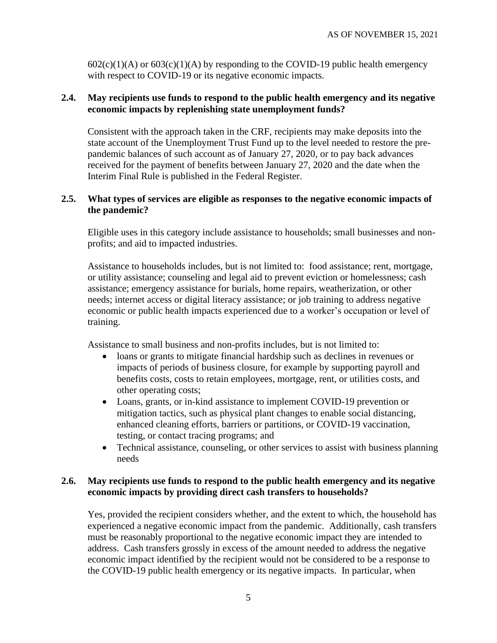$602(c)(1)(A)$  or  $603(c)(1)(A)$  by responding to the COVID-19 public health emergency with respect to COVID-19 or its negative economic impacts.

#### **2.4. May recipients use funds to respond to the public health emergency and its negative economic impacts by replenishing state unemployment funds?**

Consistent with the approach taken in the CRF, recipients may make deposits into the state account of the Unemployment Trust Fund up to the level needed to restore the prepandemic balances of such account as of January 27, 2020, or to pay back advances received for the payment of benefits between January 27, 2020 and the date when the Interim Final Rule is published in the Federal Register.

#### **2.5. What types of services are eligible as responses to the negative economic impacts of the pandemic?**

Eligible uses in this category include assistance to households; small businesses and nonprofits; and aid to impacted industries.

Assistance to households includes, but is not limited to: food assistance; rent, mortgage, or utility assistance; counseling and legal aid to prevent eviction or homelessness; cash assistance; emergency assistance for burials, home repairs, weatherization, or other needs; internet access or digital literacy assistance; or job training to address negative economic or public health impacts experienced due to a worker's occupation or level of training.

Assistance to small business and non-profits includes, but is not limited to:

- loans or grants to mitigate financial hardship such as declines in revenues or impacts of periods of business closure, for example by supporting payroll and benefits costs, costs to retain employees, mortgage, rent, or utilities costs, and other operating costs;
- Loans, grants, or in-kind assistance to implement COVID-19 prevention or mitigation tactics, such as physical plant changes to enable social distancing, enhanced cleaning efforts, barriers or partitions, or COVID-19 vaccination, testing, or contact tracing programs; and
- Technical assistance, counseling, or other services to assist with business planning needs

## **2.6. May recipients use funds to respond to the public health emergency and its negative economic impacts by providing direct cash transfers to households?**

Yes, provided the recipient considers whether, and the extent to which, the household has experienced a negative economic impact from the pandemic. Additionally, cash transfers must be reasonably proportional to the negative economic impact they are intended to address. Cash transfers grossly in excess of the amount needed to address the negative economic impact identified by the recipient would not be considered to be a response to the COVID-19 public health emergency or its negative impacts. In particular, when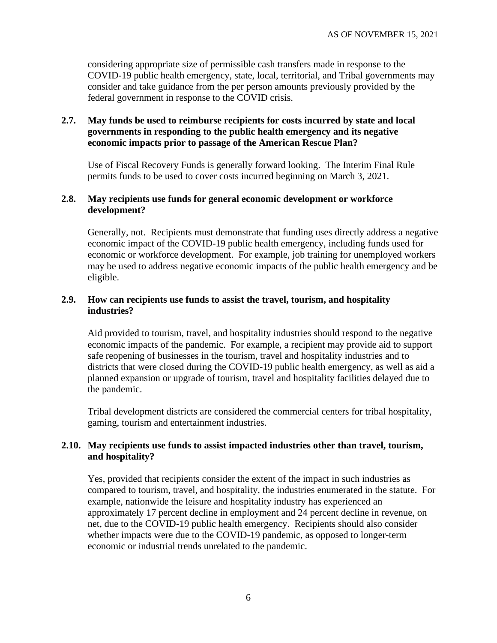considering appropriate size of permissible cash transfers made in response to the COVID-19 public health emergency, state, local, territorial, and Tribal governments may consider and take guidance from the per person amounts previously provided by the federal government in response to the COVID crisis.

## **2.7. May funds be used to reimburse recipients for costs incurred by state and local governments in responding to the public health emergency and its negative economic impacts prior to passage of the American Rescue Plan?**

Use of Fiscal Recovery Funds is generally forward looking. The Interim Final Rule permits funds to be used to cover costs incurred beginning on March 3, 2021.

#### **2.8. May recipients use funds for general economic development or workforce development?**

Generally, not. Recipients must demonstrate that funding uses directly address a negative economic impact of the COVID-19 public health emergency, including funds used for economic or workforce development. For example, job training for unemployed workers may be used to address negative economic impacts of the public health emergency and be eligible.

### **2.9. How can recipients use funds to assist the travel, tourism, and hospitality industries?**

Aid provided to tourism, travel, and hospitality industries should respond to the negative economic impacts of the pandemic. For example, a recipient may provide aid to support safe reopening of businesses in the tourism, travel and hospitality industries and to districts that were closed during the COVID-19 public health emergency, as well as aid a planned expansion or upgrade of tourism, travel and hospitality facilities delayed due to the pandemic.

Tribal development districts are considered the commercial centers for tribal hospitality, gaming, tourism and entertainment industries.

## **2.10. May recipients use funds to assist impacted industries other than travel, tourism, and hospitality?**

Yes, provided that recipients consider the extent of the impact in such industries as compared to tourism, travel, and hospitality, the industries enumerated in the statute. For example, nationwide the leisure and hospitality industry has experienced an approximately 17 percent decline in employment and 24 percent decline in revenue, on net, due to the COVID-19 public health emergency. Recipients should also consider whether impacts were due to the COVID-19 pandemic, as opposed to longer-term economic or industrial trends unrelated to the pandemic.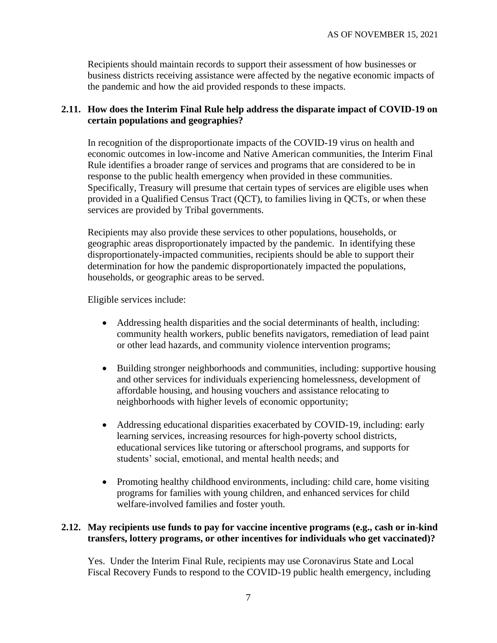Recipients should maintain records to support their assessment of how businesses or business districts receiving assistance were affected by the negative economic impacts of the pandemic and how the aid provided responds to these impacts.

#### **2.11. How does the Interim Final Rule help address the disparate impact of COVID-19 on certain populations and geographies?**

In recognition of the disproportionate impacts of the COVID-19 virus on health and economic outcomes in low-income and Native American communities, the Interim Final Rule identifies a broader range of services and programs that are considered to be in response to the public health emergency when provided in these communities. Specifically, Treasury will presume that certain types of services are eligible uses when provided in a Qualified Census Tract (QCT), to families living in QCTs, or when these services are provided by Tribal governments.

Recipients may also provide these services to other populations, households, or geographic areas disproportionately impacted by the pandemic. In identifying these disproportionately-impacted communities, recipients should be able to support their determination for how the pandemic disproportionately impacted the populations, households, or geographic areas to be served.

Eligible services include:

- Addressing health disparities and the social determinants of health, including: community health workers, public benefits navigators, remediation of lead paint or other lead hazards, and community violence intervention programs;
- Building stronger neighborhoods and communities, including: supportive housing and other services for individuals experiencing homelessness, development of affordable housing, and housing vouchers and assistance relocating to neighborhoods with higher levels of economic opportunity;
- Addressing educational disparities exacerbated by COVID-19, including: early learning services, increasing resources for high-poverty school districts, educational services like tutoring or afterschool programs, and supports for students' social, emotional, and mental health needs; and
- Promoting healthy childhood environments, including: child care, home visiting programs for families with young children, and enhanced services for child welfare-involved families and foster youth.

## **2.12. May recipients use funds to pay for vaccine incentive programs (e.g., cash or in-kind transfers, lottery programs, or other incentives for individuals who get vaccinated)?**

Yes. Under the Interim Final Rule, recipients may use Coronavirus State and Local Fiscal Recovery Funds to respond to the COVID-19 public health emergency, including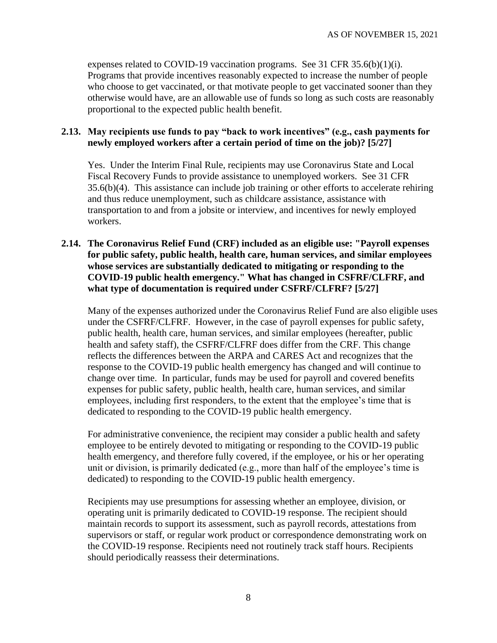expenses related to COVID-19 vaccination programs. See 31 CFR 35.6(b)(1)(i). Programs that provide incentives reasonably expected to increase the number of people who choose to get vaccinated, or that motivate people to get vaccinated sooner than they otherwise would have, are an allowable use of funds so long as such costs are reasonably proportional to the expected public health benefit.

#### <span id="page-7-0"></span>**2.13. May recipients use funds to pay "back to work incentives" (e.g., cash payments for newly employed workers after a certain period of time on the job)? [5/27]**

Yes. Under the Interim Final Rule, recipients may use Coronavirus State and Local Fiscal Recovery Funds to provide assistance to unemployed workers. See 31 CFR 35.6(b)(4). This assistance can include job training or other efforts to accelerate rehiring and thus reduce unemployment, such as childcare assistance, assistance with transportation to and from a jobsite or interview, and incentives for newly employed workers.

## <span id="page-7-1"></span>**2.14. The Coronavirus Relief Fund (CRF) included as an eligible use: "Payroll expenses for public safety, public health, health care, human services, and similar employees whose services are substantially dedicated to mitigating or responding to the COVID-19 public health emergency." What has changed in CSFRF/CLFRF, and what type of documentation is required under CSFRF/CLFRF? [5/27]**

Many of the expenses authorized under the Coronavirus Relief Fund are also eligible uses under the CSFRF/CLFRF. However, in the case of payroll expenses for public safety, public health, health care, human services, and similar employees (hereafter, public health and safety staff), the CSFRF/CLFRF does differ from the CRF. This change reflects the differences between the ARPA and CARES Act and recognizes that the response to the COVID-19 public health emergency has changed and will continue to change over time. In particular, funds may be used for payroll and covered benefits expenses for public safety, public health, health care, human services, and similar employees, including first responders, to the extent that the employee's time that is dedicated to responding to the COVID-19 public health emergency.

For administrative convenience, the recipient may consider a public health and safety employee to be entirely devoted to mitigating or responding to the COVID-19 public health emergency, and therefore fully covered, if the employee, or his or her operating unit or division, is primarily dedicated (e.g., more than half of the employee's time is dedicated) to responding to the COVID-19 public health emergency.

Recipients may use presumptions for assessing whether an employee, division, or operating unit is primarily dedicated to COVID-19 response. The recipient should maintain records to support its assessment, such as payroll records, attestations from supervisors or staff, or regular work product or correspondence demonstrating work on the COVID-19 response. Recipients need not routinely track staff hours. Recipients should periodically reassess their determinations.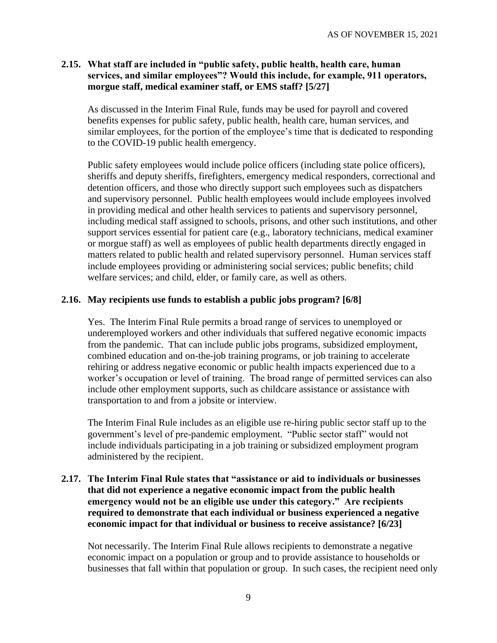## <span id="page-8-0"></span>**2.15. What staff are included in "public safety, public health, health care, human services, and similar employees"? Would this include, for example, 911 operators, morgue staff, medical examiner staff, or EMS staff? [5/27]**

As discussed in the Interim Final Rule, funds may be used for payroll and covered benefits expenses for public safety, public health, health care, human services, and similar employees, for the portion of the employee's time that is dedicated to responding to the COVID-19 public health emergency.

Public safety employees would include police officers (including state police officers), sheriffs and deputy sheriffs, firefighters, emergency medical responders, correctional and detention officers, and those who directly support such employees such as dispatchers and supervisory personnel. Public health employees would include employees involved in providing medical and other health services to patients and supervisory personnel, including medical staff assigned to schools, prisons, and other such institutions, and other support services essential for patient care (e.g., laboratory technicians, medical examiner or morgue staff) as well as employees of public health departments directly engaged in matters related to public health and related supervisory personnel. Human services staff include employees providing or administering social services; public benefits; child welfare services; and child, elder, or family care, as well as others.

## <span id="page-8-1"></span>**2.16. May recipients use funds to establish a public jobs program? [6/8]**

Yes. The Interim Final Rule permits a broad range of services to unemployed or underemployed workers and other individuals that suffered negative economic impacts from the pandemic. That can include public jobs programs, subsidized employment, combined education and on-the-job training programs, or job training to accelerate rehiring or address negative economic or public health impacts experienced due to a worker's occupation or level of training. The broad range of permitted services can also include other employment supports, such as childcare assistance or assistance with transportation to and from a jobsite or interview.

The Interim Final Rule includes as an eligible use re-hiring public sector staff up to the government's level of pre-pandemic employment. "Public sector staff" would not include individuals participating in a job training or subsidized employment program administered by the recipient.

## <span id="page-8-2"></span>**2.17. The Interim Final Rule states that "assistance or aid to individuals or businesses that did not experience a negative economic impact from the public health emergency would not be an eligible use under this category." Are recipients required to demonstrate that each individual or business experienced a negative economic impact for that individual or business to receive assistance? [6/23]**

Not necessarily. The Interim Final Rule allows recipients to demonstrate a negative economic impact on a population or group and to provide assistance to households or businesses that fall within that population or group. In such cases, the recipient need only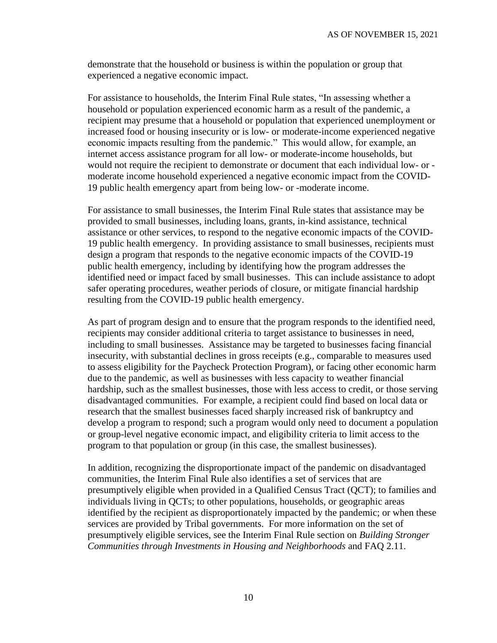demonstrate that the household or business is within the population or group that experienced a negative economic impact.

For assistance to households, the Interim Final Rule states, "In assessing whether a household or population experienced economic harm as a result of the pandemic, a recipient may presume that a household or population that experienced unemployment or increased food or housing insecurity or is low- or moderate-income experienced negative economic impacts resulting from the pandemic." This would allow, for example, an internet access assistance program for all low- or moderate-income households, but would not require the recipient to demonstrate or document that each individual low- or moderate income household experienced a negative economic impact from the COVID-19 public health emergency apart from being low- or -moderate income.

For assistance to small businesses, the Interim Final Rule states that assistance may be provided to small businesses, including loans, grants, in-kind assistance, technical assistance or other services, to respond to the negative economic impacts of the COVID-19 public health emergency. In providing assistance to small businesses, recipients must design a program that responds to the negative economic impacts of the COVID-19 public health emergency, including by identifying how the program addresses the identified need or impact faced by small businesses. This can include assistance to adopt safer operating procedures, weather periods of closure, or mitigate financial hardship resulting from the COVID-19 public health emergency.

As part of program design and to ensure that the program responds to the identified need, recipients may consider additional criteria to target assistance to businesses in need, including to small businesses. Assistance may be targeted to businesses facing financial insecurity, with substantial declines in gross receipts (e.g., comparable to measures used to assess eligibility for the Paycheck Protection Program), or facing other economic harm due to the pandemic, as well as businesses with less capacity to weather financial hardship, such as the smallest businesses, those with less access to credit, or those serving disadvantaged communities. For example, a recipient could find based on local data or research that the smallest businesses faced sharply increased risk of bankruptcy and develop a program to respond; such a program would only need to document a population or group-level negative economic impact, and eligibility criteria to limit access to the program to that population or group (in this case, the smallest businesses).

In addition, recognizing the disproportionate impact of the pandemic on disadvantaged communities, the Interim Final Rule also identifies a set of services that are presumptively eligible when provided in a Qualified Census Tract (QCT); to families and individuals living in QCTs; to other populations, households, or geographic areas identified by the recipient as disproportionately impacted by the pandemic; or when these services are provided by Tribal governments. For more information on the set of presumptively eligible services, see the Interim Final Rule section on *Building Stronger Communities through Investments in Housing and Neighborhoods* and FAQ 2.11.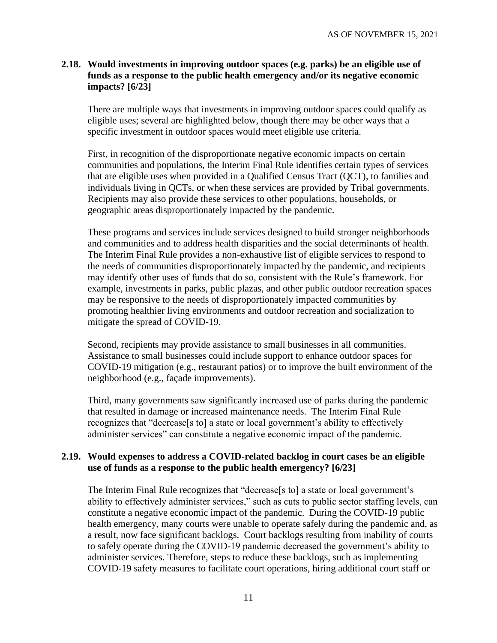### <span id="page-10-0"></span>**2.18. Would investments in improving outdoor spaces (e.g. parks) be an eligible use of funds as a response to the public health emergency and/or its negative economic impacts? [6/23]**

There are multiple ways that investments in improving outdoor spaces could qualify as eligible uses; several are highlighted below, though there may be other ways that a specific investment in outdoor spaces would meet eligible use criteria.

First, in recognition of the disproportionate negative economic impacts on certain communities and populations, the Interim Final Rule identifies certain types of services that are eligible uses when provided in a Qualified Census Tract (QCT), to families and individuals living in QCTs, or when these services are provided by Tribal governments. Recipients may also provide these services to other populations, households, or geographic areas disproportionately impacted by the pandemic.

These programs and services include services designed to build stronger neighborhoods and communities and to address health disparities and the social determinants of health. The Interim Final Rule provides a non-exhaustive list of eligible services to respond to the needs of communities disproportionately impacted by the pandemic, and recipients may identify other uses of funds that do so, consistent with the Rule's framework. For example, investments in parks, public plazas, and other public outdoor recreation spaces may be responsive to the needs of disproportionately impacted communities by promoting healthier living environments and outdoor recreation and socialization to mitigate the spread of COVID-19.

Second, recipients may provide assistance to small businesses in all communities. Assistance to small businesses could include support to enhance outdoor spaces for COVID-19 mitigation (e.g., restaurant patios) or to improve the built environment of the neighborhood (e.g., façade improvements).

Third, many governments saw significantly increased use of parks during the pandemic that resulted in damage or increased maintenance needs. The Interim Final Rule recognizes that "decrease[s to] a state or local government's ability to effectively administer services" can constitute a negative economic impact of the pandemic.

#### <span id="page-10-1"></span>**2.19. Would expenses to address a COVID-related backlog in court cases be an eligible use of funds as a response to the public health emergency? [6/23]**

The Interim Final Rule recognizes that "decrease<sup>[s to]</sup> a state or local government's ability to effectively administer services," such as cuts to public sector staffing levels, can constitute a negative economic impact of the pandemic. During the COVID-19 public health emergency, many courts were unable to operate safely during the pandemic and, as a result, now face significant backlogs. Court backlogs resulting from inability of courts to safely operate during the COVID-19 pandemic decreased the government's ability to administer services. Therefore, steps to reduce these backlogs, such as implementing COVID-19 safety measures to facilitate court operations, hiring additional court staff or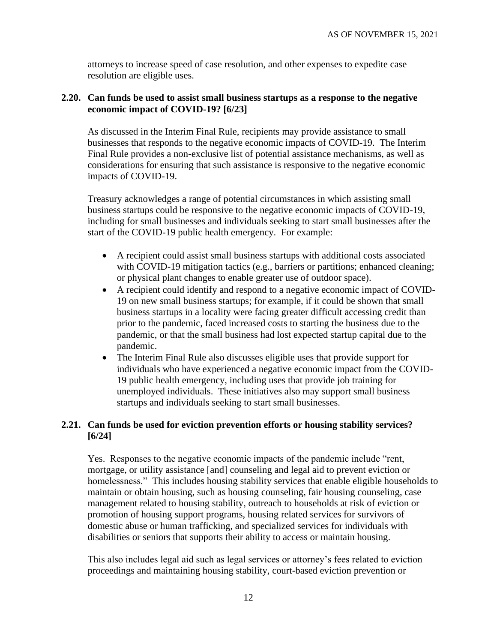attorneys to increase speed of case resolution, and other expenses to expedite case resolution are eligible uses.

#### <span id="page-11-0"></span>**2.20. Can funds be used to assist small business startups as a response to the negative economic impact of COVID-19? [6/23]**

As discussed in the Interim Final Rule, recipients may provide assistance to small businesses that responds to the negative economic impacts of COVID-19. The Interim Final Rule provides a non-exclusive list of potential assistance mechanisms, as well as considerations for ensuring that such assistance is responsive to the negative economic impacts of COVID-19.

Treasury acknowledges a range of potential circumstances in which assisting small business startups could be responsive to the negative economic impacts of COVID-19, including for small businesses and individuals seeking to start small businesses after the start of the COVID-19 public health emergency. For example:

- A recipient could assist small business startups with additional costs associated with COVID-19 mitigation tactics (e.g., barriers or partitions; enhanced cleaning; or physical plant changes to enable greater use of outdoor space).
- A recipient could identify and respond to a negative economic impact of COVID-19 on new small business startups; for example, if it could be shown that small business startups in a locality were facing greater difficult accessing credit than prior to the pandemic, faced increased costs to starting the business due to the pandemic, or that the small business had lost expected startup capital due to the pandemic.
- The Interim Final Rule also discusses eligible uses that provide support for individuals who have experienced a negative economic impact from the COVID-19 public health emergency, including uses that provide job training for unemployed individuals. These initiatives also may support small business startups and individuals seeking to start small businesses.

## <span id="page-11-1"></span>**2.21. Can funds be used for eviction prevention efforts or housing stability services? [6/24]**

Yes. Responses to the negative economic impacts of the pandemic include "rent, mortgage, or utility assistance [and] counseling and legal aid to prevent eviction or homelessness." This includes housing stability services that enable eligible households to maintain or obtain housing, such as housing counseling, fair housing counseling, case management related to housing stability, outreach to households at risk of eviction or promotion of housing support programs, housing related services for survivors of domestic abuse or human trafficking, and specialized services for individuals with disabilities or seniors that supports their ability to access or maintain housing.

This also includes legal aid such as legal services or attorney's fees related to eviction proceedings and maintaining housing stability, court-based eviction prevention or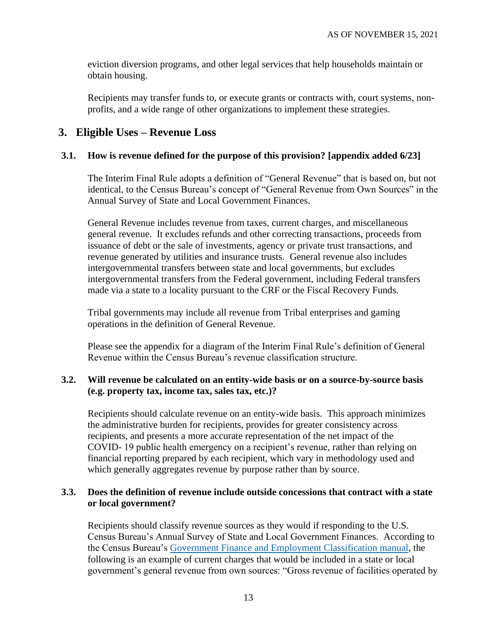eviction diversion programs, and other legal services that help households maintain or obtain housing.

Recipients may transfer funds to, or execute grants or contracts with, court systems, nonprofits, and a wide range of other organizations to implement these strategies.

# **3. Eligible Uses – Revenue Loss**

## <span id="page-12-0"></span>**3.1. How is revenue defined for the purpose of this provision? [\[appendix](#page-42-0) added 6/23]**

The Interim Final Rule adopts a definition of "General Revenue" that is based on, but not identical, to the Census Bureau's concept of "General Revenue from Own Sources" in the Annual Survey of State and Local Government Finances.

General Revenue includes revenue from taxes, current charges, and miscellaneous general revenue. It excludes refunds and other correcting transactions, proceeds from issuance of debt or the sale of investments, agency or private trust transactions, and revenue generated by utilities and insurance trusts. General revenue also includes intergovernmental transfers between state and local governments, but excludes intergovernmental transfers from the Federal government, including Federal transfers made via a state to a locality pursuant to the CRF or the Fiscal Recovery Funds.

Tribal governments may include all revenue from Tribal enterprises and gaming operations in the definition of General Revenue.

Please see the [appendix](#page-42-0) for a diagram of the Interim Final Rule's definition of General Revenue within the Census Bureau's revenue classification structure.

## **3.2. Will revenue be calculated on an entity-wide basis or on a source-by-source basis (e.g. property tax, income tax, sales tax, etc.)?**

Recipients should calculate revenue on an entity-wide basis. This approach minimizes the administrative burden for recipients, provides for greater consistency across recipients, and presents a more accurate representation of the net impact of the COVID- 19 public health emergency on a recipient's revenue, rather than relying on financial reporting prepared by each recipient, which vary in methodology used and which generally aggregates revenue by purpose rather than by source.

## **3.3. Does the definition of revenue include outside concessions that contract with a state or local government?**

Recipients should classify revenue sources as they would if responding to the U.S. Census Bureau's Annual Survey of State and Local Government Finances. According to the Census Bureau's [Government Finance and Employment Classification manual,](https://www2.census.gov/govs/pubs/classification/2006_classification_manual.pdf) the following is an example of current charges that would be included in a state or local government's general revenue from own sources: "Gross revenue of facilities operated by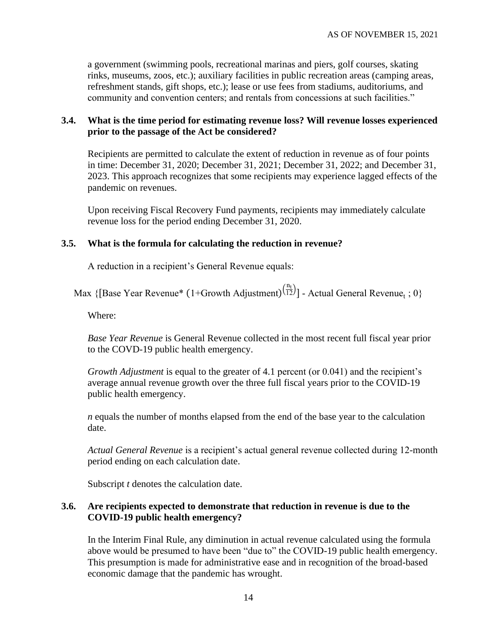a government (swimming pools, recreational marinas and piers, golf courses, skating rinks, museums, zoos, etc.); auxiliary facilities in public recreation areas (camping areas, refreshment stands, gift shops, etc.); lease or use fees from stadiums, auditoriums, and community and convention centers; and rentals from concessions at such facilities."

#### **3.4. What is the time period for estimating revenue loss? Will revenue losses experienced prior to the passage of the Act be considered?**

Recipients are permitted to calculate the extent of reduction in revenue as of four points in time: December 31, 2020; December 31, 2021; December 31, 2022; and December 31, 2023. This approach recognizes that some recipients may experience lagged effects of the pandemic on revenues.

Upon receiving Fiscal Recovery Fund payments, recipients may immediately calculate revenue loss for the period ending December 31, 2020.

#### **3.5. What is the formula for calculating the reduction in revenue?**

A reduction in a recipient's General Revenue equals:

Max {[Base Year Revenue\* (1+Growth Adjustment) $\frac{(n_t)}{(12)}$ ] - Actual General Revenue<sub>t</sub>; 0}

Where:

*Base Year Revenue* is General Revenue collected in the most recent full fiscal year prior to the COVD-19 public health emergency.

*Growth Adjustment* is equal to the greater of 4.1 percent (or 0.041) and the recipient's average annual revenue growth over the three full fiscal years prior to the COVID-19 public health emergency.

*n* equals the number of months elapsed from the end of the base year to the calculation date.

*Actual General Revenue* is a recipient's actual general revenue collected during 12-month period ending on each calculation date.

Subscript *t* denotes the calculation date.

#### **3.6. Are recipients expected to demonstrate that reduction in revenue is due to the COVID-19 public health emergency?**

In the Interim Final Rule, any diminution in actual revenue calculated using the formula above would be presumed to have been "due to" the COVID-19 public health emergency. This presumption is made for administrative ease and in recognition of the broad-based economic damage that the pandemic has wrought.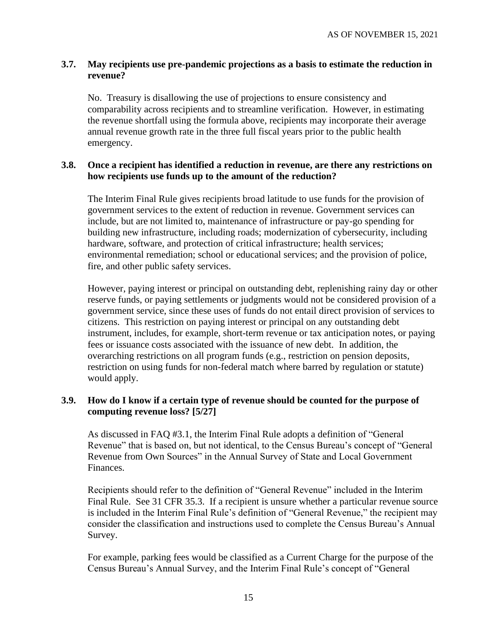#### **3.7. May recipients use pre-pandemic projections as a basis to estimate the reduction in revenue?**

No. Treasury is disallowing the use of projections to ensure consistency and comparability across recipients and to streamline verification. However, in estimating the revenue shortfall using the formula above, recipients may incorporate their average annual revenue growth rate in the three full fiscal years prior to the public health emergency.

#### <span id="page-14-1"></span>**3.8. Once a recipient has identified a reduction in revenue, are there any restrictions on how recipients use funds up to the amount of the reduction?**

The Interim Final Rule gives recipients broad latitude to use funds for the provision of government services to the extent of reduction in revenue. Government services can include, but are not limited to, maintenance of infrastructure or pay-go spending for building new infrastructure, including roads; modernization of cybersecurity, including hardware, software, and protection of critical infrastructure; health services; environmental remediation; school or educational services; and the provision of police, fire, and other public safety services.

However, paying interest or principal on outstanding debt, replenishing rainy day or other reserve funds, or paying settlements or judgments would not be considered provision of a government service, since these uses of funds do not entail direct provision of services to citizens. This restriction on paying interest or principal on any outstanding debt instrument, includes, for example, short-term revenue or tax anticipation notes, or paying fees or issuance costs associated with the issuance of new debt. In addition, the overarching restrictions on all program funds (e.g., restriction on pension deposits, restriction on using funds for non-federal match where barred by regulation or statute) would apply.

## <span id="page-14-0"></span>**3.9. How do I know if a certain type of revenue should be counted for the purpose of computing revenue loss? [5/27]**

As discussed in FAQ [#3.1,](#page-12-0) the Interim Final Rule adopts a definition of "General Revenue" that is based on, but not identical, to the Census Bureau's concept of "General Revenue from Own Sources" in the Annual Survey of State and Local Government Finances.

Recipients should refer to the definition of "General Revenue" included in the Interim Final Rule. See 31 CFR 35.3. If a recipient is unsure whether a particular revenue source is included in the Interim Final Rule's definition of "General Revenue," the recipient may consider the classification and instructions used to complete the Census Bureau's Annual Survey.

For example, parking fees would be classified as a Current Charge for the purpose of the Census Bureau's Annual Survey, and the Interim Final Rule's concept of "General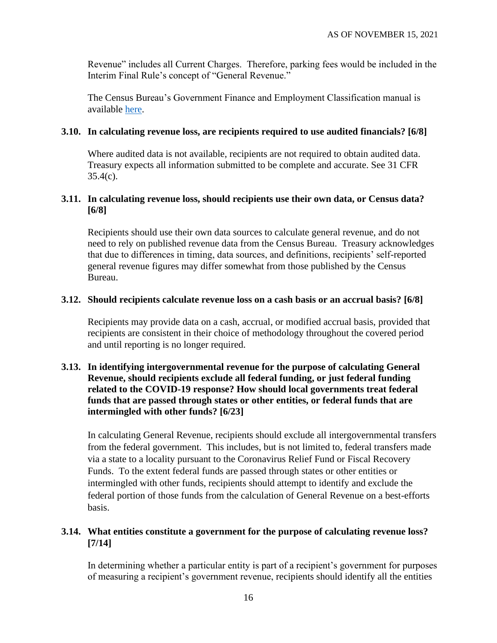Revenue" includes all Current Charges. Therefore, parking fees would be included in the Interim Final Rule's concept of "General Revenue."

The Census Bureau's Government Finance and Employment Classification manual is available [here.](https://www2.census.gov/govs/pubs/classification/2006_classification_manual.pdf)

#### <span id="page-15-0"></span>**3.10. In calculating revenue loss, are recipients required to use audited financials? [6/8]**

Where audited data is not available, recipients are not required to obtain audited data. Treasury expects all information submitted to be complete and accurate. See 31 CFR  $35.4(c)$ .

#### <span id="page-15-1"></span>**3.11. In calculating revenue loss, should recipients use their own data, or Census data? [6/8]**

Recipients should use their own data sources to calculate general revenue, and do not need to rely on published revenue data from the Census Bureau. Treasury acknowledges that due to differences in timing, data sources, and definitions, recipients' self-reported general revenue figures may differ somewhat from those published by the Census Bureau.

#### <span id="page-15-2"></span>**3.12. Should recipients calculate revenue loss on a cash basis or an accrual basis? [6/8]**

Recipients may provide data on a cash, accrual, or modified accrual basis, provided that recipients are consistent in their choice of methodology throughout the covered period and until reporting is no longer required.

## <span id="page-15-3"></span>**3.13. In identifying intergovernmental revenue for the purpose of calculating General Revenue, should recipients exclude all federal funding, or just federal funding related to the COVID-19 response? How should local governments treat federal funds that are passed through states or other entities, or federal funds that are intermingled with other funds? [6/23]**

In calculating General Revenue, recipients should exclude all intergovernmental transfers from the federal government. This includes, but is not limited to, federal transfers made via a state to a locality pursuant to the Coronavirus Relief Fund or Fiscal Recovery Funds. To the extent federal funds are passed through states or other entities or intermingled with other funds, recipients should attempt to identify and exclude the federal portion of those funds from the calculation of General Revenue on a best-efforts basis.

## <span id="page-15-4"></span>**3.14. What entities constitute a government for the purpose of calculating revenue loss? [7/14]**

In determining whether a particular entity is part of a recipient's government for purposes of measuring a recipient's government revenue, recipients should identify all the entities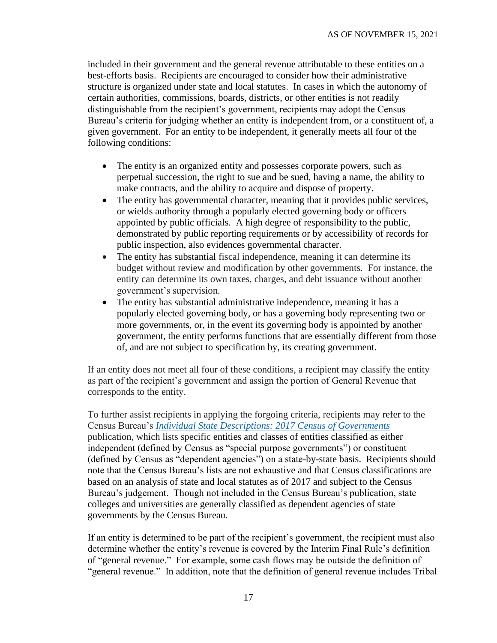included in their government and the general revenue attributable to these entities on a best-efforts basis. Recipients are encouraged to consider how their administrative structure is organized under state and local statutes. In cases in which the autonomy of certain authorities, commissions, boards, districts, or other entities is not readily distinguishable from the recipient's government, recipients may adopt the Census Bureau's criteria for judging whether an entity is independent from, or a constituent of, a given government. For an entity to be independent, it generally meets all four of the following conditions:

- The entity is an organized entity and possesses corporate powers, such as perpetual succession, the right to sue and be sued, having a name, the ability to make contracts, and the ability to acquire and dispose of property.
- The entity has governmental character, meaning that it provides public services, or wields authority through a popularly elected governing body or officers appointed by public officials. A high degree of responsibility to the public, demonstrated by public reporting requirements or by accessibility of records for public inspection, also evidences governmental character.
- The entity has substantial fiscal independence, meaning it can determine its budget without review and modification by other governments. For instance, the entity can determine its own taxes, charges, and debt issuance without another government's supervision.
- The entity has substantial administrative independence, meaning it has a popularly elected governing body, or has a governing body representing two or more governments, or, in the event its governing body is appointed by another government, the entity performs functions that are essentially different from those of, and are not subject to specification by, its creating government.

If an entity does not meet all four of these conditions, a recipient may classify the entity as part of the recipient's government and assign the portion of General Revenue that corresponds to the entity.

To further assist recipients in applying the forgoing criteria, recipients may refer to the Census Bureau's *[Individual State Descriptions: 2017 Census of Governments](https://www.census.gov/library/publications/2019/econ/2017isd.html)* publication, which lists specific entities and classes of entities classified as either independent (defined by Census as "special purpose governments") or constituent (defined by Census as "dependent agencies") on a state-by-state basis. Recipients should note that the Census Bureau's lists are not exhaustive and that Census classifications are based on an analysis of state and local statutes as of 2017 and subject to the Census Bureau's judgement. Though not included in the Census Bureau's publication, state colleges and universities are generally classified as dependent agencies of state governments by the Census Bureau.

If an entity is determined to be part of the recipient's government, the recipient must also determine whether the entity's revenue is covered by the Interim Final Rule's definition of "general revenue." For example, some cash flows may be outside the definition of "general revenue." In addition, note that the definition of general revenue includes Tribal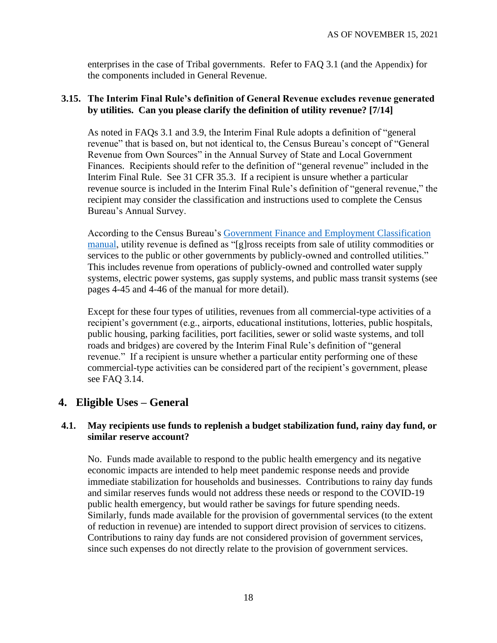enterprises in the case of Tribal governments. Refer to FAQ [3.1](#page-12-0) (and the [Appendix](#page-42-0)) for the components included in General Revenue.

#### <span id="page-17-0"></span>**3.15. The Interim Final Rule's definition of General Revenue excludes revenue generated by utilities. Can you please clarify the definition of utility revenue? [7/14]**

As noted in FAQs [3.1](#page-12-0) and [3.9,](#page-14-0) the Interim Final Rule adopts a definition of "general revenue" that is based on, but not identical to, the Census Bureau's concept of "General Revenue from Own Sources" in the Annual Survey of State and Local Government Finances. Recipients should refer to the definition of "general revenue" included in the Interim Final Rule. See 31 CFR 35.3. If a recipient is unsure whether a particular revenue source is included in the Interim Final Rule's definition of "general revenue," the recipient may consider the classification and instructions used to complete the Census Bureau's Annual Survey.

According to the Census Bureau's [Government Finance and Employment Classification](https://www2.census.gov/govs/pubs/classification/2006_classification_manual.pdf)  [manual,](https://www2.census.gov/govs/pubs/classification/2006_classification_manual.pdf) utility revenue is defined as "[g]ross receipts from sale of utility commodities or services to the public or other governments by publicly-owned and controlled utilities." This includes revenue from operations of publicly-owned and controlled water supply systems, electric power systems, gas supply systems, and public mass transit systems (see pages 4-45 and 4-46 of the manual for more detail).

Except for these four types of utilities, revenues from all commercial-type activities of a recipient's government (e.g., airports, educational institutions, lotteries, public hospitals, public housing, parking facilities, port facilities, sewer or solid waste systems, and toll roads and bridges) are covered by the Interim Final Rule's definition of "general revenue." If a recipient is unsure whether a particular entity performing one of these commercial-type activities can be considered part of the recipient's government, please see FAQ [3.14.](#page-15-4)

## **4. Eligible Uses – General**

# **4.1. May recipients use funds to replenish a budget stabilization fund, rainy day fund, or similar reserve account?**

No. Funds made available to respond to the public health emergency and its negative economic impacts are intended to help meet pandemic response needs and provide immediate stabilization for households and businesses. Contributions to rainy day funds and similar reserves funds would not address these needs or respond to the COVID-19 public health emergency, but would rather be savings for future spending needs. Similarly, funds made available for the provision of governmental services (to the extent of reduction in revenue) are intended to support direct provision of services to citizens. Contributions to rainy day funds are not considered provision of government services, since such expenses do not directly relate to the provision of government services.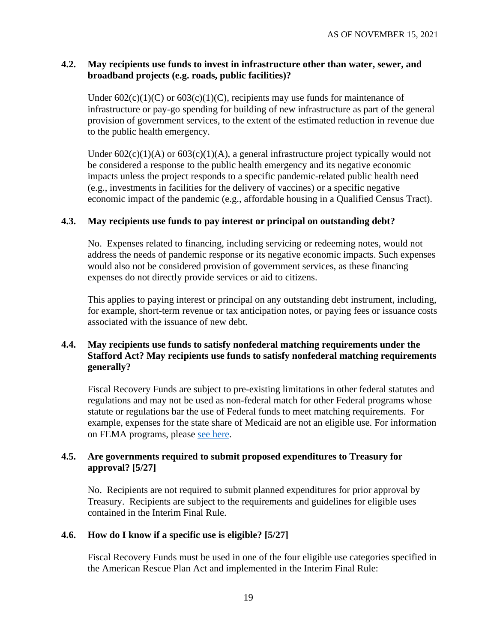#### <span id="page-18-2"></span>**4.2. May recipients use funds to invest in infrastructure other than water, sewer, and broadband projects (e.g. roads, public facilities)?**

Under  $602(c)(1)(C)$  or  $603(c)(1)(C)$ , recipients may use funds for maintenance of infrastructure or pay-go spending for building of new infrastructure as part of the general provision of government services, to the extent of the estimated reduction in revenue due to the public health emergency.

Under  $602(c)(1)(A)$  or  $603(c)(1)(A)$ , a general infrastructure project typically would not be considered a response to the public health emergency and its negative economic impacts unless the project responds to a specific pandemic-related public health need (e.g., investments in facilities for the delivery of vaccines) or a specific negative economic impact of the pandemic (e.g., affordable housing in a Qualified Census Tract).

#### **4.3. May recipients use funds to pay interest or principal on outstanding debt?**

No. Expenses related to financing, including servicing or redeeming notes, would not address the needs of pandemic response or its negative economic impacts. Such expenses would also not be considered provision of government services, as these financing expenses do not directly provide services or aid to citizens.

This applies to paying interest or principal on any outstanding debt instrument, including, for example, short-term revenue or tax anticipation notes, or paying fees or issuance costs associated with the issuance of new debt.

### **4.4. May recipients use funds to satisfy nonfederal matching requirements under the Stafford Act? May recipients use funds to satisfy nonfederal matching requirements generally?**

Fiscal Recovery Funds are subject to pre-existing limitations in other federal statutes and regulations and may not be used as non-federal match for other Federal programs whose statute or regulations bar the use of Federal funds to meet matching requirements. For example, expenses for the state share of Medicaid are not an eligible use. For information on FEMA programs, please [see here.](https://www.fema.gov/press-release/20210203/fema-statement-100-cost-share)

#### <span id="page-18-0"></span>**4.5. Are governments required to submit proposed expenditures to Treasury for approval? [5/27]**

No. Recipients are not required to submit planned expenditures for prior approval by Treasury. Recipients are subject to the requirements and guidelines for eligible uses contained in the Interim Final Rule.

#### <span id="page-18-1"></span>**4.6. How do I know if a specific use is eligible? [5/27]**

Fiscal Recovery Funds must be used in one of the four eligible use categories specified in the American Rescue Plan Act and implemented in the Interim Final Rule: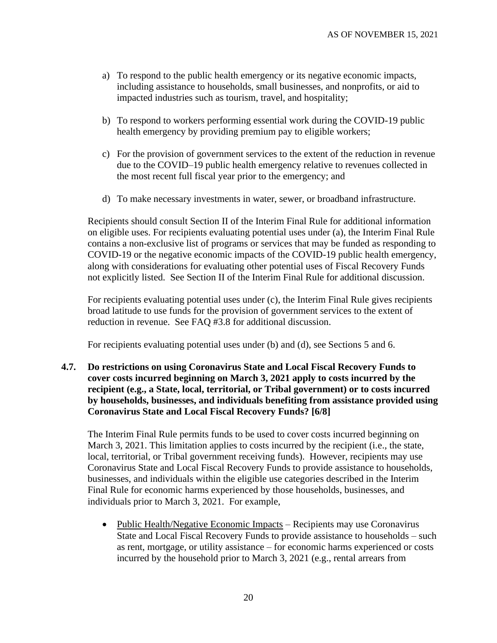- a) To respond to the public health emergency or its negative economic impacts, including assistance to households, small businesses, and nonprofits, or aid to impacted industries such as tourism, travel, and hospitality;
- b) To respond to workers performing essential work during the COVID-19 public health emergency by providing premium pay to eligible workers;
- c) For the provision of government services to the extent of the reduction in revenue due to the COVID–19 public health emergency relative to revenues collected in the most recent full fiscal year prior to the emergency; and
- d) To make necessary investments in water, sewer, or broadband infrastructure.

Recipients should consult Section II of the Interim Final Rule for additional information on eligible uses. For recipients evaluating potential uses under (a), the Interim Final Rule contains a non-exclusive list of programs or services that may be funded as responding to COVID-19 or the negative economic impacts of the COVID-19 public health emergency, along with considerations for evaluating other potential uses of Fiscal Recovery Funds not explicitly listed. See Section II of the Interim Final Rule for additional discussion.

For recipients evaluating potential uses under (c), the Interim Final Rule gives recipients broad latitude to use funds for the provision of government services to the extent of reduction in revenue. See FAQ [#3.8](#page-14-1) for additional discussion.

For recipients evaluating potential uses under (b) and (d), see Sections [5](#page-25-1) and [6.](#page-26-0)

<span id="page-19-0"></span>**4.7. Do restrictions on using Coronavirus State and Local Fiscal Recovery Funds to cover costs incurred beginning on March 3, 2021 apply to costs incurred by the recipient (e.g., a State, local, territorial, or Tribal government) or to costs incurred by households, businesses, and individuals benefiting from assistance provided using Coronavirus State and Local Fiscal Recovery Funds? [6/8]**

The Interim Final Rule permits funds to be used to cover costs incurred beginning on March 3, 2021. This limitation applies to costs incurred by the recipient (i.e., the state, local, territorial, or Tribal government receiving funds). However, recipients may use Coronavirus State and Local Fiscal Recovery Funds to provide assistance to households, businesses, and individuals within the eligible use categories described in the Interim Final Rule for economic harms experienced by those households, businesses, and individuals prior to March 3, 2021. For example,

• Public Health/Negative Economic Impacts – Recipients may use Coronavirus State and Local Fiscal Recovery Funds to provide assistance to households – such as rent, mortgage, or utility assistance – for economic harms experienced or costs incurred by the household prior to March 3, 2021 (e.g., rental arrears from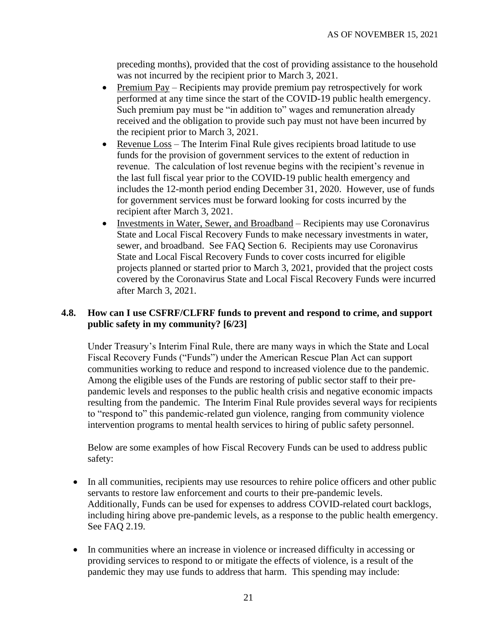preceding months), provided that the cost of providing assistance to the household was not incurred by the recipient prior to March 3, 2021.

- Premium Pay Recipients may provide premium pay retrospectively for work performed at any time since the start of the COVID-19 public health emergency. Such premium pay must be "in addition to" wages and remuneration already received and the obligation to provide such pay must not have been incurred by the recipient prior to March 3, 2021.
- Revenue Loss The Interim Final Rule gives recipients broad latitude to use funds for the provision of government services to the extent of reduction in revenue. The calculation of lost revenue begins with the recipient's revenue in the last full fiscal year prior to the COVID-19 public health emergency and includes the 12-month period ending December 31, 2020. However, use of funds for government services must be forward looking for costs incurred by the recipient after March 3, 2021.
- Investments in Water, Sewer, and Broadband Recipients may use Coronavirus State and Local Fiscal Recovery Funds to make necessary investments in water, sewer, and broadband. See FAQ Section [6.](#page-26-0) Recipients may use Coronavirus State and Local Fiscal Recovery Funds to cover costs incurred for eligible projects planned or started prior to March 3, 2021, provided that the project costs covered by the Coronavirus State and Local Fiscal Recovery Funds were incurred after March 3, 2021.

## <span id="page-20-0"></span>**4.8. How can I use CSFRF/CLFRF funds to prevent and respond to crime, and support public safety in my community? [6/23]**

Under Treasury's Interim Final Rule, there are many ways in which the State and Local Fiscal Recovery Funds ("Funds") under the American Rescue Plan Act can support communities working to reduce and respond to increased violence due to the pandemic. Among the eligible uses of the Funds are restoring of public sector staff to their prepandemic levels and responses to the public health crisis and negative economic impacts resulting from the pandemic. The Interim Final Rule provides several ways for recipients to "respond to" this pandemic-related gun violence, ranging from community violence intervention programs to mental health services to hiring of public safety personnel.

Below are some examples of how Fiscal Recovery Funds can be used to address public safety:

- In all communities, recipients may use resources to rehire police officers and other public servants to restore law enforcement and courts to their pre-pandemic levels. Additionally, Funds can be used for expenses to address COVID-related court backlogs, including hiring above pre-pandemic levels, as a response to the public health emergency. See FAQ [2.19.](#page-10-1)
- In communities where an increase in violence or increased difficulty in accessing or providing services to respond to or mitigate the effects of violence, is a result of the pandemic they may use funds to address that harm. This spending may include: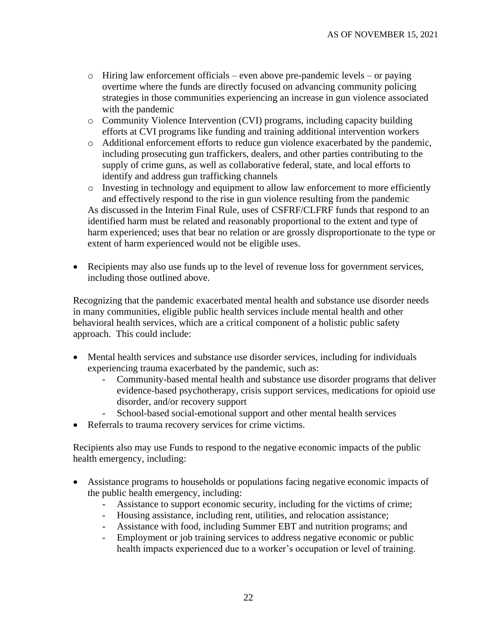- o Hiring law enforcement officials even above pre-pandemic levels or paying overtime where the funds are directly focused on advancing community policing strategies in those communities experiencing an increase in gun violence associated with the pandemic
- o Community Violence Intervention (CVI) programs, including capacity building efforts at CVI programs like funding and training additional intervention workers
- o Additional enforcement efforts to reduce gun violence exacerbated by the pandemic, including prosecuting gun traffickers, dealers, and other parties contributing to the supply of crime guns, as well as collaborative federal, state, and local efforts to identify and address gun trafficking channels

o Investing in technology and equipment to allow law enforcement to more efficiently and effectively respond to the rise in gun violence resulting from the pandemic As discussed in the Interim Final Rule, uses of CSFRF/CLFRF funds that respond to an identified harm must be related and reasonably proportional to the extent and type of harm experienced; uses that bear no relation or are grossly disproportionate to the type or extent of harm experienced would not be eligible uses.

• Recipients may also use funds up to the level of revenue loss for government services, including those outlined above.

Recognizing that the pandemic exacerbated mental health and substance use disorder needs in many communities, eligible public health services include mental health and other behavioral health services, which are a critical component of a holistic public safety approach. This could include:

- Mental health services and substance use disorder services, including for individuals experiencing trauma exacerbated by the pandemic, such as:
	- Community-based mental health and substance use disorder programs that deliver evidence-based psychotherapy, crisis support services, medications for opioid use disorder, and/or recovery support
	- School-based social-emotional support and other mental health services
- Referrals to trauma recovery services for crime victims.

Recipients also may use Funds to respond to the negative economic impacts of the public health emergency, including:

- Assistance programs to households or populations facing negative economic impacts of the public health emergency, including:
	- Assistance to support economic security, including for the victims of crime;
	- Housing assistance, including rent, utilities, and relocation assistance;
	- Assistance with food, including Summer EBT and nutrition programs; and
	- Employment or job training services to address negative economic or public health impacts experienced due to a worker's occupation or level of training.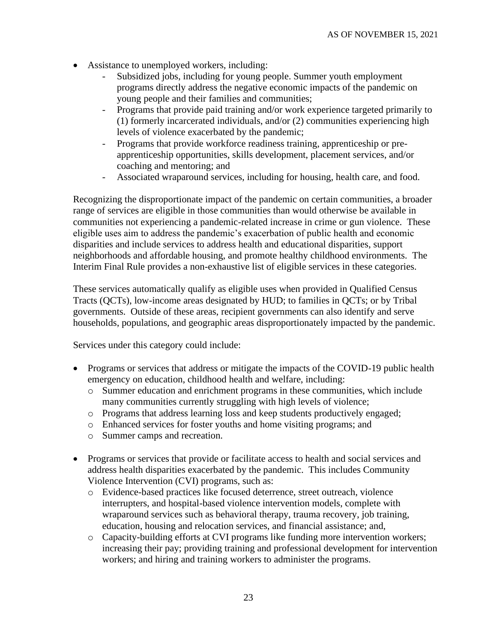- Assistance to unemployed workers, including:
	- Subsidized jobs, including for young people. Summer youth employment programs directly address the negative economic impacts of the pandemic on young people and their families and communities;
	- Programs that provide paid training and/or work experience targeted primarily to (1) formerly incarcerated individuals, and/or (2) communities experiencing high levels of violence exacerbated by the pandemic;
	- Programs that provide workforce readiness training, apprenticeship or preapprenticeship opportunities, skills development, placement services, and/or coaching and mentoring; and
	- Associated wraparound services, including for housing, health care, and food.

Recognizing the disproportionate impact of the pandemic on certain communities, a broader range of services are eligible in those communities than would otherwise be available in communities not experiencing a pandemic-related increase in crime or gun violence. These eligible uses aim to address the pandemic's exacerbation of public health and economic disparities and include services to address health and educational disparities, support neighborhoods and affordable housing, and promote healthy childhood environments. The Interim Final Rule provides a non-exhaustive list of eligible services in these categories.

These services automatically qualify as eligible uses when provided in Qualified Census Tracts (QCTs), low-income areas designated by HUD; to families in QCTs; or by Tribal governments. Outside of these areas, recipient governments can also identify and serve households, populations, and geographic areas disproportionately impacted by the pandemic.

Services under this category could include:

- Programs or services that address or mitigate the impacts of the COVID-19 public health emergency on education, childhood health and welfare, including:
	- o Summer education and enrichment programs in these communities, which include many communities currently struggling with high levels of violence;
	- o Programs that address learning loss and keep students productively engaged;
	- o Enhanced services for foster youths and home visiting programs; and
	- o Summer camps and recreation.
- Programs or services that provide or facilitate access to health and social services and address health disparities exacerbated by the pandemic. This includes Community Violence Intervention (CVI) programs, such as:
	- o Evidence-based practices like focused deterrence, street outreach, violence interrupters, and hospital-based violence intervention models, complete with wraparound services such as behavioral therapy, trauma recovery, job training, education, housing and relocation services, and financial assistance; and,
	- o Capacity-building efforts at CVI programs like funding more intervention workers; increasing their pay; providing training and professional development for intervention workers; and hiring and training workers to administer the programs.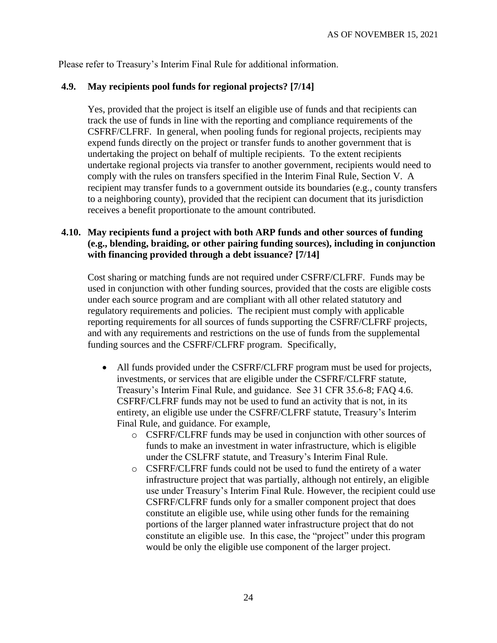Please refer to Treasury's Interim Final Rule for additional information.

## <span id="page-23-0"></span>**4.9. May recipients pool funds for regional projects? [7/14]**

Yes, provided that the project is itself an eligible use of funds and that recipients can track the use of funds in line with the reporting and compliance requirements of the CSFRF/CLFRF. In general, when pooling funds for regional projects, recipients may expend funds directly on the project or transfer funds to another government that is undertaking the project on behalf of multiple recipients. To the extent recipients undertake regional projects via transfer to another government, recipients would need to comply with the rules on transfers specified in the Interim Final Rule, Section V. A recipient may transfer funds to a government outside its boundaries (e.g., county transfers to a neighboring county), provided that the recipient can document that its jurisdiction receives a benefit proportionate to the amount contributed.

## <span id="page-23-1"></span>**4.10. May recipients fund a project with both ARP funds and other sources of funding (e.g., blending, braiding, or other pairing funding sources), including in conjunction with financing provided through a debt issuance? [7/14]**

Cost sharing or matching funds are not required under CSFRF/CLFRF. Funds may be used in conjunction with other funding sources, provided that the costs are eligible costs under each source program and are compliant with all other related statutory and regulatory requirements and policies. The recipient must comply with applicable reporting requirements for all sources of funds supporting the CSFRF/CLFRF projects, and with any requirements and restrictions on the use of funds from the supplemental funding sources and the CSFRF/CLFRF program. Specifically,

- All funds provided under the CSFRF/CLFRF program must be used for projects, investments, or services that are eligible under the CSFRF/CLFRF statute, Treasury's Interim Final Rule, and guidance. See 31 CFR 35.6-8; FAQ [4.6.](#page-18-1) CSFRF/CLFRF funds may not be used to fund an activity that is not, in its entirety, an eligible use under the CSFRF/CLFRF statute, Treasury's Interim Final Rule, and guidance. For example,
	- o CSFRF/CLFRF funds may be used in conjunction with other sources of funds to make an investment in water infrastructure, which is eligible under the CSLFRF statute, and Treasury's Interim Final Rule.
	- o CSFRF/CLFRF funds could not be used to fund the entirety of a water infrastructure project that was partially, although not entirely, an eligible use under Treasury's Interim Final Rule. However, the recipient could use CSFRF/CLFRF funds only for a smaller component project that does constitute an eligible use, while using other funds for the remaining portions of the larger planned water infrastructure project that do not constitute an eligible use. In this case, the "project" under this program would be only the eligible use component of the larger project.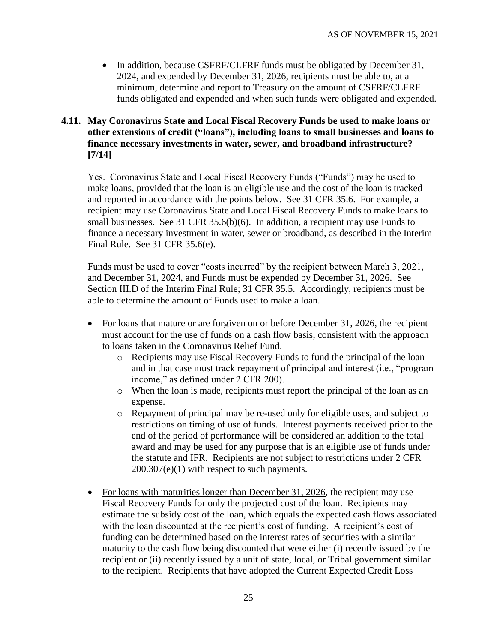• In addition, because CSFRF/CLFRF funds must be obligated by December 31, 2024, and expended by December 31, 2026, recipients must be able to, at a minimum, determine and report to Treasury on the amount of CSFRF/CLFRF funds obligated and expended and when such funds were obligated and expended.

## <span id="page-24-0"></span>**4.11. May Coronavirus State and Local Fiscal Recovery Funds be used to make loans or other extensions of credit ("loans"), including loans to small businesses and loans to finance necessary investments in water, sewer, and broadband infrastructure? [7/14]**

Yes. Coronavirus State and Local Fiscal Recovery Funds ("Funds") may be used to make loans, provided that the loan is an eligible use and the cost of the loan is tracked and reported in accordance with the points below. See 31 CFR 35.6. For example, a recipient may use Coronavirus State and Local Fiscal Recovery Funds to make loans to small businesses. See 31 CFR 35.6(b)(6). In addition, a recipient may use Funds to finance a necessary investment in water, sewer or broadband, as described in the Interim Final Rule. See 31 CFR 35.6(e).

Funds must be used to cover "costs incurred" by the recipient between March 3, 2021, and December 31, 2024, and Funds must be expended by December 31, 2026. See Section III.D of the Interim Final Rule; 31 CFR 35.5. Accordingly, recipients must be able to determine the amount of Funds used to make a loan.

- For loans that mature or are forgiven on or before December 31, 2026, the recipient must account for the use of funds on a cash flow basis, consistent with the approach to loans taken in the Coronavirus Relief Fund.
	- o Recipients may use Fiscal Recovery Funds to fund the principal of the loan and in that case must track repayment of principal and interest (i.e., "program income," as defined under 2 CFR 200).
	- o When the loan is made, recipients must report the principal of the loan as an expense.
	- o Repayment of principal may be re-used only for eligible uses, and subject to restrictions on timing of use of funds. Interest payments received prior to the end of the period of performance will be considered an addition to the total award and may be used for any purpose that is an eligible use of funds under the statute and IFR. Recipients are not subject to restrictions under 2 CFR 200.307(e)(1) with respect to such payments.
- For loans with maturities longer than December 31, 2026, the recipient may use Fiscal Recovery Funds for only the projected cost of the loan. Recipients may estimate the subsidy cost of the loan, which equals the expected cash flows associated with the loan discounted at the recipient's cost of funding. A recipient's cost of funding can be determined based on the interest rates of securities with a similar maturity to the cash flow being discounted that were either (i) recently issued by the recipient or (ii) recently issued by a unit of state, local, or Tribal government similar to the recipient. Recipients that have adopted the Current Expected Credit Loss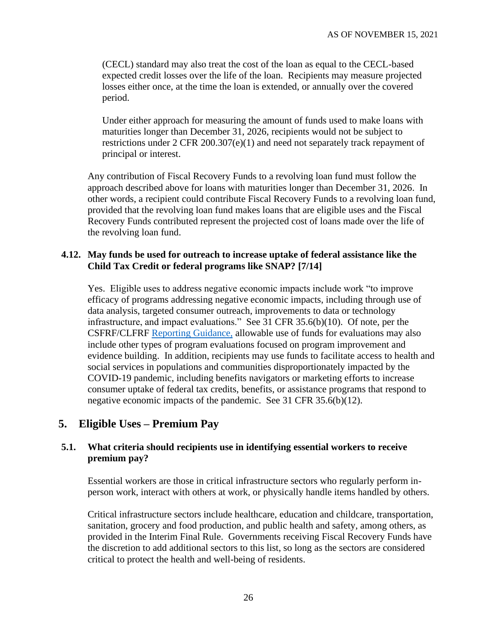(CECL) standard may also treat the cost of the loan as equal to the CECL-based expected credit losses over the life of the loan. Recipients may measure projected losses either once, at the time the loan is extended, or annually over the covered period.

Under either approach for measuring the amount of funds used to make loans with maturities longer than December 31, 2026, recipients would not be subject to restrictions under 2 CFR 200.307(e)(1) and need not separately track repayment of principal or interest.

Any contribution of Fiscal Recovery Funds to a revolving loan fund must follow the approach described above for loans with maturities longer than December 31, 2026. In other words, a recipient could contribute Fiscal Recovery Funds to a revolving loan fund, provided that the revolving loan fund makes loans that are eligible uses and the Fiscal Recovery Funds contributed represent the projected cost of loans made over the life of the revolving loan fund.

#### <span id="page-25-0"></span>**4.12. May funds be used for outreach to increase uptake of federal assistance like the Child Tax Credit or federal programs like SNAP? [7/14]**

Yes. Eligible uses to address negative economic impacts include work "to improve efficacy of programs addressing negative economic impacts, including through use of data analysis, targeted consumer outreach, improvements to data or technology infrastructure, and impact evaluations." See 31 CFR 35.6(b)(10). Of note, per the [CSFRF/CLFRF Reporting Guidance,](https://home.treasury.gov/system/files/136/SLFRF-Compliance-and-Reporting-Guidance.pdf) allowable use of funds for evaluations may also include other types of program evaluations focused on program improvement and evidence building. In addition, recipients may use funds to facilitate access to health and social services in populations and communities disproportionately impacted by the COVID-19 pandemic, including benefits navigators or marketing efforts to increase consumer uptake of federal tax credits, benefits, or assistance programs that respond to negative economic impacts of the pandemic. See 31 CFR 35.6(b)(12).

# <span id="page-25-1"></span>**5. Eligible Uses – Premium Pay**

#### **5.1. What criteria should recipients use in identifying essential workers to receive premium pay?**

Essential workers are those in critical infrastructure sectors who regularly perform inperson work, interact with others at work, or physically handle items handled by others.

Critical infrastructure sectors include healthcare, education and childcare, transportation, sanitation, grocery and food production, and public health and safety, among others, as provided in the Interim Final Rule. Governments receiving Fiscal Recovery Funds have the discretion to add additional sectors to this list, so long as the sectors are considered critical to protect the health and well-being of residents.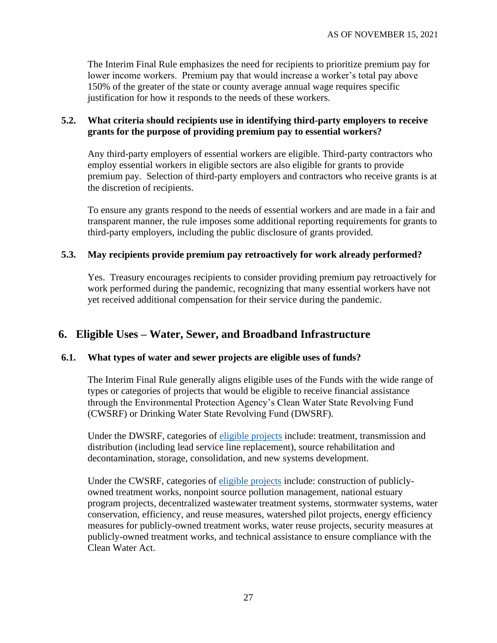The Interim Final Rule emphasizes the need for recipients to prioritize premium pay for lower income workers. Premium pay that would increase a worker's total pay above 150% of the greater of the state or county average annual wage requires specific justification for how it responds to the needs of these workers.

#### **5.2. What criteria should recipients use in identifying third-party employers to receive grants for the purpose of providing premium pay to essential workers?**

Any third-party employers of essential workers are eligible. Third-party contractors who employ essential workers in eligible sectors are also eligible for grants to provide premium pay. Selection of third-party employers and contractors who receive grants is at the discretion of recipients.

To ensure any grants respond to the needs of essential workers and are made in a fair and transparent manner, the rule imposes some additional reporting requirements for grants to third-party employers, including the public disclosure of grants provided.

#### **5.3. May recipients provide premium pay retroactively for work already performed?**

Yes. Treasury encourages recipients to consider providing premium pay retroactively for work performed during the pandemic, recognizing that many essential workers have not yet received additional compensation for their service during the pandemic.

# <span id="page-26-0"></span>**6. Eligible Uses – Water, Sewer, and Broadband Infrastructure**

#### **6.1. What types of water and sewer projects are eligible uses of funds?**

The Interim Final Rule generally aligns eligible uses of the Funds with the wide range of types or categories of projects that would be eligible to receive financial assistance through the Environmental Protection Agency's Clean Water State Revolving Fund (CWSRF) or Drinking Water State Revolving Fund (DWSRF).

Under the DWSRF, categories of [eligible projects](https://www.epa.gov/sites/production/files/2019-10/documents/dwsrf_eligibility_handbook_june_13_2017_updated_508_versioni.pdf) include: treatment, transmission and distribution (including lead service line replacement), source rehabilitation and decontamination, storage, consolidation, and new systems development.

Under the CWSRF, categories of [eligible projects](https://www.epa.gov/sites/production/files/2016-07/documents/overview_of_cwsrf_eligibilities_may_2016.pdf) include: construction of publiclyowned treatment works, nonpoint source pollution management, national estuary program projects, decentralized wastewater treatment systems, stormwater systems, water conservation, efficiency, and reuse measures, watershed pilot projects, energy efficiency measures for publicly-owned treatment works, water reuse projects, security measures at publicly-owned treatment works, and technical assistance to ensure compliance with the Clean Water Act.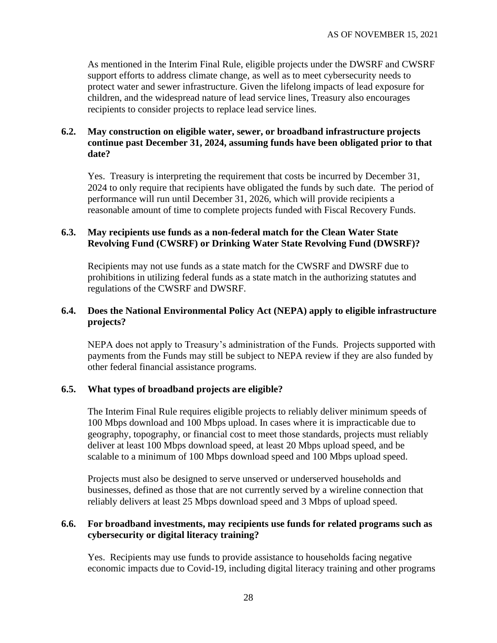As mentioned in the Interim Final Rule, eligible projects under the DWSRF and CWSRF support efforts to address climate change, as well as to meet cybersecurity needs to protect water and sewer infrastructure. Given the lifelong impacts of lead exposure for children, and the widespread nature of lead service lines, Treasury also encourages recipients to consider projects to replace lead service lines.

### **6.2. May construction on eligible water, sewer, or broadband infrastructure projects continue past December 31, 2024, assuming funds have been obligated prior to that date?**

Yes. Treasury is interpreting the requirement that costs be incurred by December 31, 2024 to only require that recipients have obligated the funds by such date. The period of performance will run until December 31, 2026, which will provide recipients a reasonable amount of time to complete projects funded with Fiscal Recovery Funds.

#### **6.3. May recipients use funds as a non-federal match for the Clean Water State Revolving Fund (CWSRF) or Drinking Water State Revolving Fund (DWSRF)?**

Recipients may not use funds as a state match for the CWSRF and DWSRF due to prohibitions in utilizing federal funds as a state match in the authorizing statutes and regulations of the CWSRF and DWSRF.

#### **6.4. Does the National Environmental Policy Act (NEPA) apply to eligible infrastructure projects?**

NEPA does not apply to Treasury's administration of the Funds. Projects supported with payments from the Funds may still be subject to NEPA review if they are also funded by other federal financial assistance programs.

#### **6.5. What types of broadband projects are eligible?**

The Interim Final Rule requires eligible projects to reliably deliver minimum speeds of 100 Mbps download and 100 Mbps upload. In cases where it is impracticable due to geography, topography, or financial cost to meet those standards, projects must reliably deliver at least 100 Mbps download speed, at least 20 Mbps upload speed, and be scalable to a minimum of 100 Mbps download speed and 100 Mbps upload speed.

Projects must also be designed to serve unserved or underserved households and businesses, defined as those that are not currently served by a wireline connection that reliably delivers at least 25 Mbps download speed and 3 Mbps of upload speed.

## **6.6. For broadband investments, may recipients use funds for related programs such as cybersecurity or digital literacy training?**

Yes. Recipients may use funds to provide assistance to households facing negative economic impacts due to Covid-19, including digital literacy training and other programs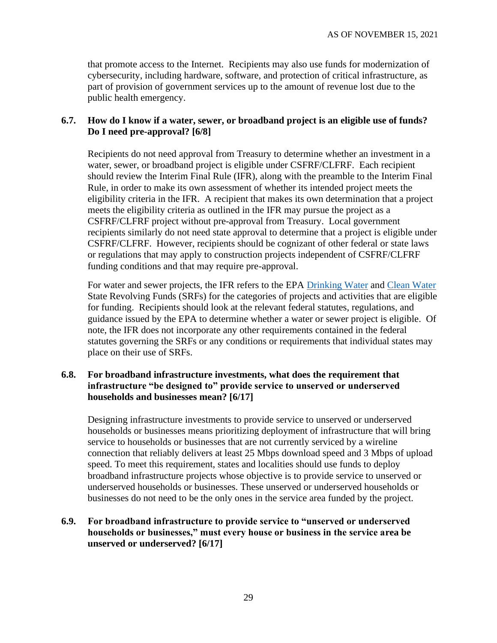that promote access to the Internet. Recipients may also use funds for modernization of cybersecurity, including hardware, software, and protection of critical infrastructure, as part of provision of government services up to the amount of revenue lost due to the public health emergency.

### <span id="page-28-0"></span>**6.7. How do I know if a water, sewer, or broadband project is an eligible use of funds? Do I need pre-approval? [6/8]**

Recipients do not need approval from Treasury to determine whether an investment in a water, sewer, or broadband project is eligible under CSFRF/CLFRF. Each recipient should review the Interim Final Rule (IFR), along with the preamble to the Interim Final Rule, in order to make its own assessment of whether its intended project meets the eligibility criteria in the IFR. A recipient that makes its own determination that a project meets the eligibility criteria as outlined in the IFR may pursue the project as a CSFRF/CLFRF project without pre-approval from Treasury. Local government recipients similarly do not need state approval to determine that a project is eligible under CSFRF/CLFRF. However, recipients should be cognizant of other federal or state laws or regulations that may apply to construction projects independent of CSFRF/CLFRF funding conditions and that may require pre-approval.

For water and sewer projects, the IFR refers to the EPA [Drinking Water](https://www.epa.gov/sites/production/files/2019-10/documents/dwsrf_eligibility_handbook_june_13_2017_updated_508_versioni.pdf) and [Clean Water](https://www.epa.gov/sites/production/files/2016-07/documents/overview_of_cwsrf_eligibilities_may_2016.pdf) State Revolving Funds (SRFs) for the categories of projects and activities that are eligible for funding. Recipients should look at the relevant federal statutes, regulations, and guidance issued by the EPA to determine whether a water or sewer project is eligible. Of note, the IFR does not incorporate any other requirements contained in the federal statutes governing the SRFs or any conditions or requirements that individual states may place on their use of SRFs.

### <span id="page-28-1"></span>**6.8. For broadband infrastructure investments, what does the requirement that infrastructure "be designed to" provide service to unserved or underserved households and businesses mean? [6/17]**

Designing infrastructure investments to provide service to unserved or underserved households or businesses means prioritizing deployment of infrastructure that will bring service to households or businesses that are not currently serviced by a wireline connection that reliably delivers at least 25 Mbps download speed and 3 Mbps of upload speed. To meet this requirement, states and localities should use funds to deploy broadband infrastructure projects whose objective is to provide service to unserved or underserved households or businesses. These unserved or underserved households or businesses do not need to be the only ones in the service area funded by the project.

## <span id="page-28-2"></span>**6.9. For broadband infrastructure to provide service to "unserved or underserved households or businesses," must every house or business in the service area be unserved or underserved? [6/17]**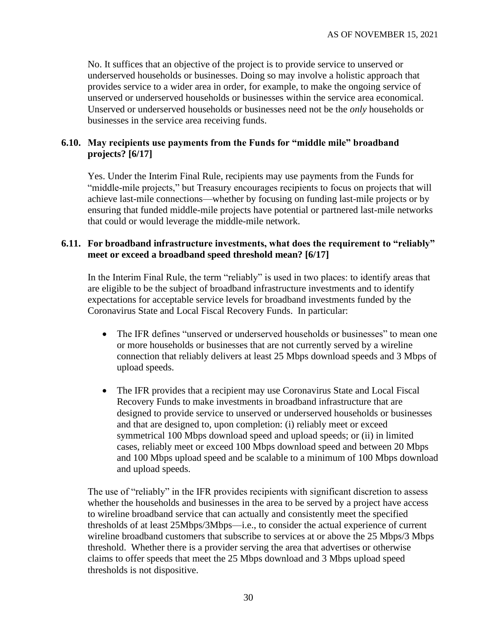No. It suffices that an objective of the project is to provide service to unserved or underserved households or businesses. Doing so may involve a holistic approach that provides service to a wider area in order, for example, to make the ongoing service of unserved or underserved households or businesses within the service area economical. Unserved or underserved households or businesses need not be the *only* households or businesses in the service area receiving funds.

### <span id="page-29-0"></span>**6.10. May recipients use payments from the Funds for "middle mile" broadband projects? [6/17]**

Yes. Under the Interim Final Rule, recipients may use payments from the Funds for "middle-mile projects," but Treasury encourages recipients to focus on projects that will achieve last-mile connections—whether by focusing on funding last-mile projects or by ensuring that funded middle-mile projects have potential or partnered last-mile networks that could or would leverage the middle-mile network.

#### <span id="page-29-1"></span>**6.11. For broadband infrastructure investments, what does the requirement to "reliably" meet or exceed a broadband speed threshold mean? [6/17]**

In the Interim Final Rule, the term "reliably" is used in two places: to identify areas that are eligible to be the subject of broadband infrastructure investments and to identify expectations for acceptable service levels for broadband investments funded by the Coronavirus State and Local Fiscal Recovery Funds. In particular:

- The IFR defines "unserved or underserved households or businesses" to mean one or more households or businesses that are not currently served by a wireline connection that reliably delivers at least 25 Mbps download speeds and 3 Mbps of upload speeds.
- The IFR provides that a recipient may use Coronavirus State and Local Fiscal Recovery Funds to make investments in broadband infrastructure that are designed to provide service to unserved or underserved households or businesses and that are designed to, upon completion: (i) reliably meet or exceed symmetrical 100 Mbps download speed and upload speeds; or (ii) in limited cases, reliably meet or exceed 100 Mbps download speed and between 20 Mbps and 100 Mbps upload speed and be scalable to a minimum of 100 Mbps download and upload speeds.

The use of "reliably" in the IFR provides recipients with significant discretion to assess whether the households and businesses in the area to be served by a project have access to wireline broadband service that can actually and consistently meet the specified thresholds of at least 25Mbps/3Mbps—i.e., to consider the actual experience of current wireline broadband customers that subscribe to services at or above the 25 Mbps/3 Mbps threshold. Whether there is a provider serving the area that advertises or otherwise claims to offer speeds that meet the 25 Mbps download and 3 Mbps upload speed thresholds is not dispositive.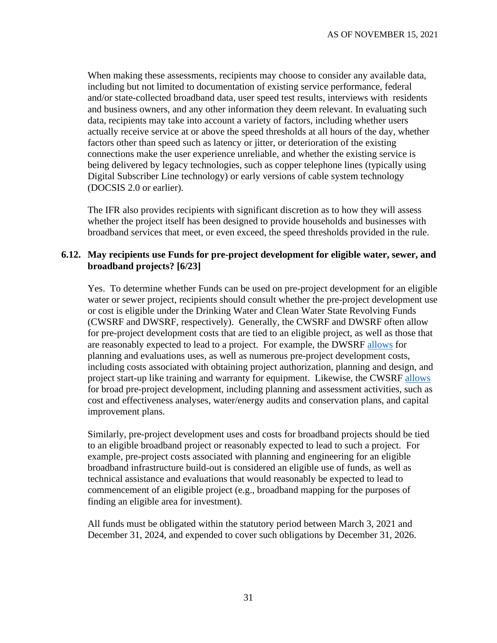When making these assessments, recipients may choose to consider any available data, including but not limited to documentation of existing service performance, federal and/or state-collected broadband data, user speed test results, interviews with residents and business owners, and any other information they deem relevant. In evaluating such data, recipients may take into account a variety of factors, including whether users actually receive service at or above the speed thresholds at all hours of the day, whether factors other than speed such as latency or jitter, or deterioration of the existing connections make the user experience unreliable, and whether the existing service is being delivered by legacy technologies, such as copper telephone lines (typically using Digital Subscriber Line technology) or early versions of cable system technology (DOCSIS 2.0 or earlier).

The IFR also provides recipients with significant discretion as to how they will assess whether the project itself has been designed to provide households and businesses with broadband services that meet, or even exceed, the speed thresholds provided in the rule.

#### <span id="page-30-0"></span>**6.12. May recipients use Funds for pre-project development for eligible water, sewer, and broadband projects? [6/23]**

Yes. To determine whether Funds can be used on pre-project development for an eligible water or sewer project, recipients should consult whether the pre-project development use or cost is eligible under the Drinking Water and Clean Water State Revolving Funds (CWSRF and DWSRF, respectively). Generally, the CWSRF and DWSRF often allow for pre-project development costs that are tied to an eligible project, as well as those that are reasonably expected to lead to a project. For example, the DWSRF [allows](https://www.epa.gov/sites/production/files/2017-06/documents/dwsrf_eligibility_handbook_june_13_2017_updated_508_version.pdf) for planning and evaluations uses, as well as numerous pre-project development costs, including costs associated with obtaining project authorization, planning and design, and project start-up like training and warranty for equipment. Likewise, the CWSRF [allows](https://www.epa.gov/sites/production/files/2016-07/documents/overview_of_cwsrf_eligibilities_may_2016.pdf) for broad pre-project development, including planning and assessment activities, such as cost and effectiveness analyses, water/energy audits and conservation plans, and capital improvement plans.

Similarly, pre-project development uses and costs for broadband projects should be tied to an eligible broadband project or reasonably expected to lead to such a project. For example, pre-project costs associated with planning and engineering for an eligible broadband infrastructure build-out is considered an eligible use of funds, as well as technical assistance and evaluations that would reasonably be expected to lead to commencement of an eligible project (e.g., broadband mapping for the purposes of finding an eligible area for investment).

All funds must be obligated within the statutory period between March 3, 2021 and December 31, 2024, and expended to cover such obligations by December 31, 2026.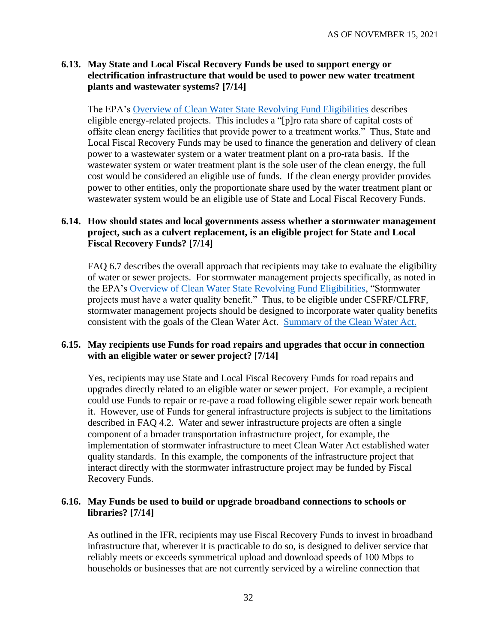#### <span id="page-31-0"></span>**6.13. May State and Local Fiscal Recovery Funds be used to support energy or electrification infrastructure that would be used to power new water treatment plants and wastewater systems? [7/14]**

The EPA's [Overview of Clean Water State Revolving Fund Eligibilities](https://www.epa.gov/sites/production/files/2016-07/documents/overview_of_cwsrf_eligibilities_may_2016.pdf) describes eligible energy-related projects. This includes a "[p]ro rata share of capital costs of offsite clean energy facilities that provide power to a treatment works." Thus, State and Local Fiscal Recovery Funds may be used to finance the generation and delivery of clean power to a wastewater system or a water treatment plant on a pro-rata basis. If the wastewater system or water treatment plant is the sole user of the clean energy, the full cost would be considered an eligible use of funds. If the clean energy provider provides power to other entities, only the proportionate share used by the water treatment plant or wastewater system would be an eligible use of State and Local Fiscal Recovery Funds.

### <span id="page-31-1"></span>**6.14. How should states and local governments assess whether a stormwater management project, such as a culvert replacement, is an eligible project for State and Local Fiscal Recovery Funds? [7/14]**

FAQ [6.7](#page-28-0) describes the overall approach that recipients may take to evaluate the eligibility of water or sewer projects. For stormwater management projects specifically, as noted in the EPA's [Overview of Clean Water State Revolving Fund Eligibilities,](https://www.epa.gov/sites/production/files/2016-07/documents/overview_of_cwsrf_eligibilities_may_2016.pdf) "Stormwater projects must have a water quality benefit." Thus, to be eligible under CSFRF/CLFRF, stormwater management projects should be designed to incorporate water quality benefits consistent with the goals of the Clean Water Act. [Summary of the Clean Water Act.](https://www.epa.gov/laws-regulations/summary-clean-water-act)

#### <span id="page-31-2"></span>**6.15. May recipients use Funds for road repairs and upgrades that occur in connection with an eligible water or sewer project? [7/14]**

Yes, recipients may use State and Local Fiscal Recovery Funds for road repairs and upgrades directly related to an eligible water or sewer project. For example, a recipient could use Funds to repair or re-pave a road following eligible sewer repair work beneath it. However, use of Funds for general infrastructure projects is subject to the limitations described in FAQ [4.2.](#page-18-2) Water and sewer infrastructure projects are often a single component of a broader transportation infrastructure project, for example, the implementation of stormwater infrastructure to meet Clean Water Act established water quality standards. In this example, the components of the infrastructure project that interact directly with the stormwater infrastructure project may be funded by Fiscal Recovery Funds.

#### <span id="page-31-3"></span>**6.16. May Funds be used to build or upgrade broadband connections to schools or libraries? [7/14]**

As outlined in the IFR, recipients may use Fiscal Recovery Funds to invest in broadband infrastructure that, wherever it is practicable to do so, is designed to deliver service that reliably meets or exceeds symmetrical upload and download speeds of 100 Mbps to households or businesses that are not currently serviced by a wireline connection that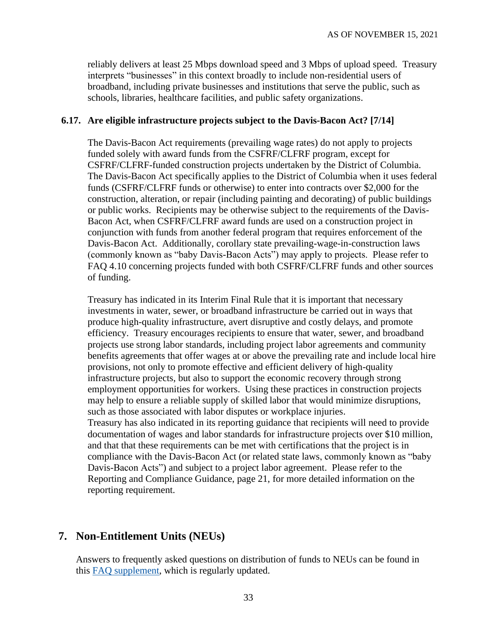reliably delivers at least 25 Mbps download speed and 3 Mbps of upload speed. Treasury interprets "businesses" in this context broadly to include non-residential users of broadband, including private businesses and institutions that serve the public, such as schools, libraries, healthcare facilities, and public safety organizations.

#### <span id="page-32-0"></span>**6.17. Are eligible infrastructure projects subject to the Davis-Bacon Act? [7/14]**

The Davis-Bacon Act requirements (prevailing wage rates) do not apply to projects funded solely with award funds from the CSFRF/CLFRF program, except for CSFRF/CLFRF-funded construction projects undertaken by the District of Columbia. The Davis-Bacon Act specifically applies to the District of Columbia when it uses federal funds (CSFRF/CLFRF funds or otherwise) to enter into contracts over \$2,000 for the construction, alteration, or repair (including painting and decorating) of public buildings or public works. Recipients may be otherwise subject to the requirements of the Davis-Bacon Act, when CSFRF/CLFRF award funds are used on a construction project in conjunction with funds from another federal program that requires enforcement of the Davis-Bacon Act. Additionally, corollary state prevailing-wage-in-construction laws (commonly known as "baby Davis-Bacon Acts") may apply to projects. Please refer to FAQ [4.10](#page-23-1) concerning projects funded with both CSFRF/CLFRF funds and other sources of funding.

Treasury has indicated in its Interim Final Rule that it is important that necessary investments in water, sewer, or broadband infrastructure be carried out in ways that produce high-quality infrastructure, avert disruptive and costly delays, and promote efficiency. Treasury encourages recipients to ensure that water, sewer, and broadband projects use strong labor standards, including project labor agreements and community benefits agreements that offer wages at or above the prevailing rate and include local hire provisions, not only to promote effective and efficient delivery of high-quality infrastructure projects, but also to support the economic recovery through strong employment opportunities for workers. Using these practices in construction projects may help to ensure a reliable supply of skilled labor that would minimize disruptions, such as those associated with labor disputes or workplace injuries. Treasury has also indicated in its reporting guidance that recipients will need to provide documentation of wages and labor standards for infrastructure projects over \$10 million,

and that that these requirements can be met with certifications that the project is in compliance with the Davis-Bacon Act (or related state laws, commonly known as "baby Davis-Bacon Acts") and subject to a project labor agreement. Please refer to the Reporting and Compliance Guidance, page 21, for more detailed information on the reporting requirement.

## **7. Non-Entitlement Units (NEUs)**

Answers to frequently asked questions on distribution of funds to NEUs can be found in this **FAQ** supplement, which is regularly updated.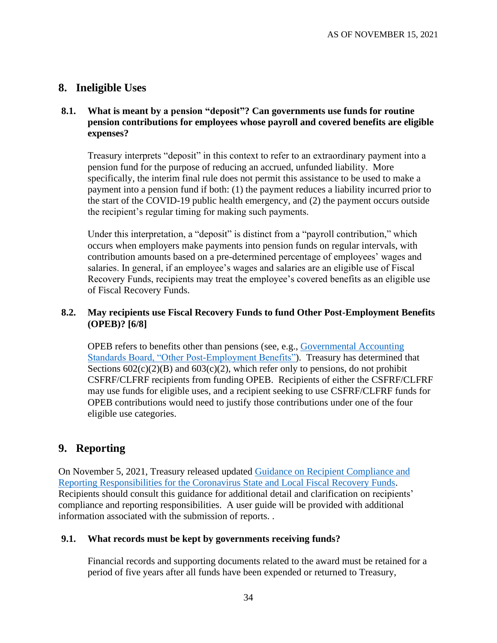# **8. Ineligible Uses**

#### **8.1. What is meant by a pension "deposit"? Can governments use funds for routine pension contributions for employees whose payroll and covered benefits are eligible expenses?**

Treasury interprets "deposit" in this context to refer to an extraordinary payment into a pension fund for the purpose of reducing an accrued, unfunded liability. More specifically, the interim final rule does not permit this assistance to be used to make a payment into a pension fund if both: (1) the payment reduces a liability incurred prior to the start of the COVID-19 public health emergency, and (2) the payment occurs outside the recipient's regular timing for making such payments.

Under this interpretation, a "deposit" is distinct from a "payroll contribution," which occurs when employers make payments into pension funds on regular intervals, with contribution amounts based on a pre-determined percentage of employees' wages and salaries. In general, if an employee's wages and salaries are an eligible use of Fiscal Recovery Funds, recipients may treat the employee's covered benefits as an eligible use of Fiscal Recovery Funds.

## <span id="page-33-0"></span>**8.2. May recipients use Fiscal Recovery Funds to fund Other Post-Employment Benefits (OPEB)? [6/8]**

OPEB refers to benefits other than pensions (see, e.g., [Governmental Accounting](https://www.gasb.org/jsp/GASB/Page/GASBBridgePage&cid=1176164129754)  [Standards Board, "Other Post-Employment Benefits"\)](https://www.gasb.org/jsp/GASB/Page/GASBBridgePage&cid=1176164129754). Treasury has determined that Sections  $602(c)(2)(B)$  and  $603(c)(2)$ , which refer only to pensions, do not prohibit CSFRF/CLFRF recipients from funding OPEB. Recipients of either the CSFRF/CLFRF may use funds for eligible uses, and a recipient seeking to use CSFRF/CLFRF funds for OPEB contributions would need to justify those contributions under one of the four eligible use categories.

# **9. Reporting**

On November 5, 2021, Treasury released updated [Guidance on Recipient Compliance and](https://home.treasury.gov/system/files/136/SLFRF-Compliance-and-Reporting-Guidance.pdf)  [Reporting Responsibilities for the Coronavirus State and Local Fiscal Recovery Funds.](https://home.treasury.gov/system/files/136/SLFRF-Compliance-and-Reporting-Guidance.pdf) Recipients should consult this guidance for additional detail and clarification on recipients' compliance and reporting responsibilities. A user guide will be provided with additional information associated with the submission of reports. .

#### **9.1. What records must be kept by governments receiving funds?**

Financial records and supporting documents related to the award must be retained for a period of five years after all funds have been expended or returned to Treasury,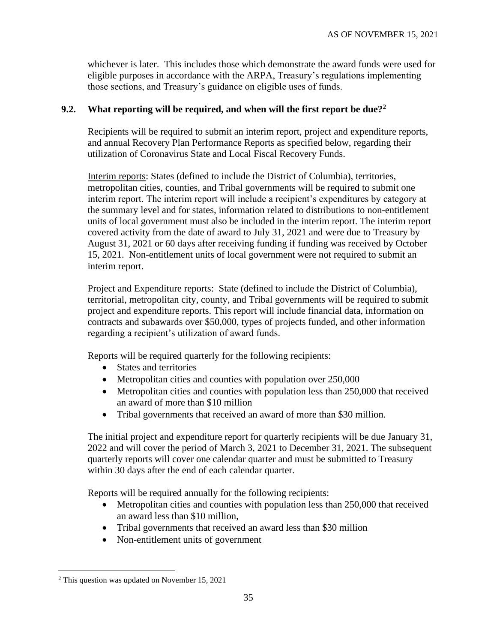whichever is later. This includes those which demonstrate the award funds were used for eligible purposes in accordance with the ARPA, Treasury's regulations implementing those sections, and Treasury's guidance on eligible uses of funds.

#### **9.2. What reporting will be required, and when will the first report be due?<sup>2</sup>**

Recipients will be required to submit an interim report, project and expenditure reports, and annual Recovery Plan Performance Reports as specified below, regarding their utilization of Coronavirus State and Local Fiscal Recovery Funds.

Interim reports: States (defined to include the District of Columbia), territories, metropolitan cities, counties, and Tribal governments will be required to submit one interim report. The interim report will include a recipient's expenditures by category at the summary level and for states, information related to distributions to non-entitlement units of local government must also be included in the interim report. The interim report covered activity from the date of award to July 31, 2021 and were due to Treasury by August 31, 2021 or 60 days after receiving funding if funding was received by October 15, 2021. Non-entitlement units of local government were not required to submit an interim report.

Project and Expenditure reports: State (defined to include the District of Columbia), territorial, metropolitan city, county, and Tribal governments will be required to submit project and expenditure reports. This report will include financial data, information on contracts and subawards over \$50,000, types of projects funded, and other information regarding a recipient's utilization of award funds.

Reports will be required quarterly for the following recipients:

- States and territories
- Metropolitan cities and counties with population over 250,000
- Metropolitan cities and counties with population less than 250,000 that received an award of more than \$10 million
- Tribal governments that received an award of more than \$30 million.

The initial project and expenditure report for quarterly recipients will be due January 31, 2022 and will cover the period of March 3, 2021 to December 31, 2021. The subsequent quarterly reports will cover one calendar quarter and must be submitted to Treasury within 30 days after the end of each calendar quarter.

Reports will be required annually for the following recipients:

- Metropolitan cities and counties with population less than 250,000 that received an award less than \$10 million,
- Tribal governments that received an award less than \$30 million
- Non-entitlement units of government

<sup>2</sup> This question was updated on November 15, 2021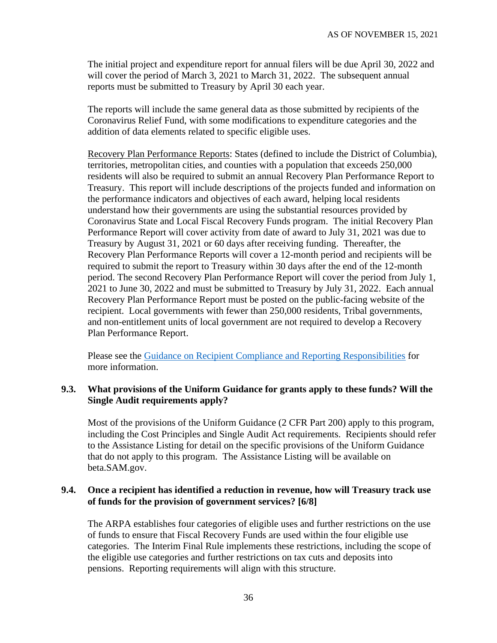The initial project and expenditure report for annual filers will be due April 30, 2022 and will cover the period of March 3, 2021 to March 31, 2022. The subsequent annual reports must be submitted to Treasury by April 30 each year.

The reports will include the same general data as those submitted by recipients of the Coronavirus Relief Fund, with some modifications to expenditure categories and the addition of data elements related to specific eligible uses.

Recovery Plan Performance Reports: States (defined to include the District of Columbia), territories, metropolitan cities, and counties with a population that exceeds 250,000 residents will also be required to submit an annual Recovery Plan Performance Report to Treasury. This report will include descriptions of the projects funded and information on the performance indicators and objectives of each award, helping local residents understand how their governments are using the substantial resources provided by Coronavirus State and Local Fiscal Recovery Funds program. The initial Recovery Plan Performance Report will cover activity from date of award to July 31, 2021 was due to Treasury by August 31, 2021 or 60 days after receiving funding. Thereafter, the Recovery Plan Performance Reports will cover a 12-month period and recipients will be required to submit the report to Treasury within 30 days after the end of the 12-month period. The second Recovery Plan Performance Report will cover the period from July 1, 2021 to June 30, 2022 and must be submitted to Treasury by July 31, 2022. Each annual Recovery Plan Performance Report must be posted on the public-facing website of the recipient. Local governments with fewer than 250,000 residents, Tribal governments, and non-entitlement units of local government are not required to develop a Recovery Plan Performance Report.

Please see the [Guidance on Recipient Compliance and Reporting Responsibilities](https://home.treasury.gov/system/files/136/SLFRF-Compliance-and-Reporting-Guidance.pdf) for more information.

#### **9.3. What provisions of the Uniform Guidance for grants apply to these funds? Will the Single Audit requirements apply?**

Most of the provisions of the Uniform Guidance (2 CFR Part 200) apply to this program, including the Cost Principles and Single Audit Act requirements. Recipients should refer to the Assistance Listing for detail on the specific provisions of the Uniform Guidance that do not apply to this program. The Assistance Listing will be available on beta.SAM.gov.

## <span id="page-35-0"></span>**9.4. Once a recipient has identified a reduction in revenue, how will Treasury track use of funds for the provision of government services? [6/8]**

The ARPA establishes four categories of eligible uses and further restrictions on the use of funds to ensure that Fiscal Recovery Funds are used within the four eligible use categories. The Interim Final Rule implements these restrictions, including the scope of the eligible use categories and further restrictions on tax cuts and deposits into pensions. Reporting requirements will align with this structure.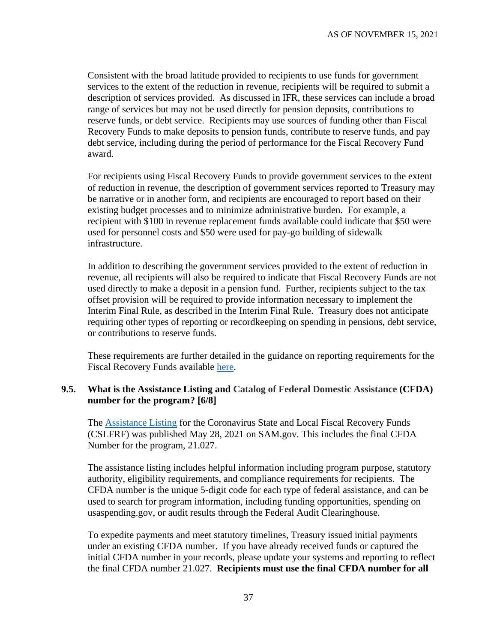Consistent with the broad latitude provided to recipients to use funds for government services to the extent of the reduction in revenue, recipients will be required to submit a description of services provided. As discussed in IFR, these services can include a broad range of services but may not be used directly for pension deposits, contributions to reserve funds, or debt service. Recipients may use sources of funding other than Fiscal Recovery Funds to make deposits to pension funds, contribute to reserve funds, and pay debt service, including during the period of performance for the Fiscal Recovery Fund award.

For recipients using Fiscal Recovery Funds to provide government services to the extent of reduction in revenue, the description of government services reported to Treasury may be narrative or in another form, and recipients are encouraged to report based on their existing budget processes and to minimize administrative burden. For example, a recipient with \$100 in revenue replacement funds available could indicate that \$50 were used for personnel costs and \$50 were used for pay-go building of sidewalk infrastructure.

In addition to describing the government services provided to the extent of reduction in revenue, all recipients will also be required to indicate that Fiscal Recovery Funds are not used directly to make a deposit in a pension fund. Further, recipients subject to the tax offset provision will be required to provide information necessary to implement the Interim Final Rule, as described in the Interim Final Rule. Treasury does not anticipate requiring other types of reporting or recordkeeping on spending in pensions, debt service, or contributions to reserve funds.

These requirements are further detailed in the guidance on reporting requirements for the Fiscal Recovery Funds available [here.](https://home.treasury.gov/system/files/136/SLFRF-Compliance-and-Reporting-Guidance.pdf)

#### <span id="page-36-0"></span>**9.5. What is the Assistance Listing and Catalog of Federal Domestic Assistance (CFDA) number for the program? [6/8]**

The [Assistance Listing](https://sam.gov/fal/7cecfdef62dc42729a3fdcd449bd62b8/view) for the Coronavirus State and Local Fiscal Recovery Funds (CSLFRF) was published May 28, 2021 on SAM.gov. This includes the final CFDA Number for the program, 21.027.

The assistance listing includes helpful information including program purpose, statutory authority, eligibility requirements, and compliance requirements for recipients. The CFDA number is the unique 5-digit code for each type of federal assistance, and can be used to search for program information, including funding opportunities, spending on usaspending.gov, or audit results through the Federal Audit Clearinghouse.

To expedite payments and meet statutory timelines, Treasury issued initial payments under an existing CFDA number. If you have already received funds or captured the initial CFDA number in your records, please update your systems and reporting to reflect the final CFDA number 21.027. **Recipients must use the final CFDA number for all**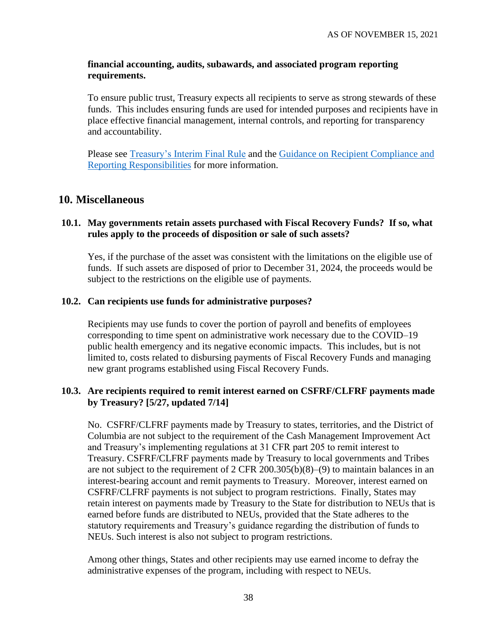#### **financial accounting, audits, subawards, and associated program reporting requirements.**

To ensure public trust, Treasury expects all recipients to serve as strong stewards of these funds. This includes ensuring funds are used for intended purposes and recipients have in place effective financial management, internal controls, and reporting for transparency and accountability.

Please see [Treasury's Interim Final Rule](https://www.govinfo.gov/content/pkg/FR-2021-05-17/pdf/2021-10283.pdf) and the [Guidance on Recipient Compliance and](https://home.treasury.gov/system/files/136/SLFRF-Compliance-and-Reporting-Guidance.pdf)  [Reporting Responsibilities](https://home.treasury.gov/system/files/136/SLFRF-Compliance-and-Reporting-Guidance.pdf) for more information.

## **10. Miscellaneous**

#### **10.1. May governments retain assets purchased with Fiscal Recovery Funds? If so, what rules apply to the proceeds of disposition or sale of such assets?**

Yes, if the purchase of the asset was consistent with the limitations on the eligible use of funds. If such assets are disposed of prior to December 31, 2024, the proceeds would be subject to the restrictions on the eligible use of payments.

#### **10.2. Can recipients use funds for administrative purposes?**

Recipients may use funds to cover the portion of payroll and benefits of employees corresponding to time spent on administrative work necessary due to the COVID–19 public health emergency and its negative economic impacts. This includes, but is not limited to, costs related to disbursing payments of Fiscal Recovery Funds and managing new grant programs established using Fiscal Recovery Funds.

#### <span id="page-37-0"></span>**10.3. Are recipients required to remit interest earned on CSFRF/CLFRF payments made by Treasury? [5/27, updated 7/14]**

No. CSFRF/CLFRF payments made by Treasury to states, territories, and the District of Columbia are not subject to the requirement of the Cash Management Improvement Act and Treasury's implementing regulations at 31 CFR part 205 to remit interest to Treasury. CSFRF/CLFRF payments made by Treasury to local governments and Tribes are not subject to the requirement of 2 CFR 200.305(b)(8)–(9) to maintain balances in an interest-bearing account and remit payments to Treasury. Moreover, interest earned on CSFRF/CLFRF payments is not subject to program restrictions. Finally, States may retain interest on payments made by Treasury to the State for distribution to NEUs that is earned before funds are distributed to NEUs, provided that the State adheres to the statutory requirements and Treasury's guidance regarding the distribution of funds to NEUs. Such interest is also not subject to program restrictions.

Among other things, States and other recipients may use earned income to defray the administrative expenses of the program, including with respect to NEUs.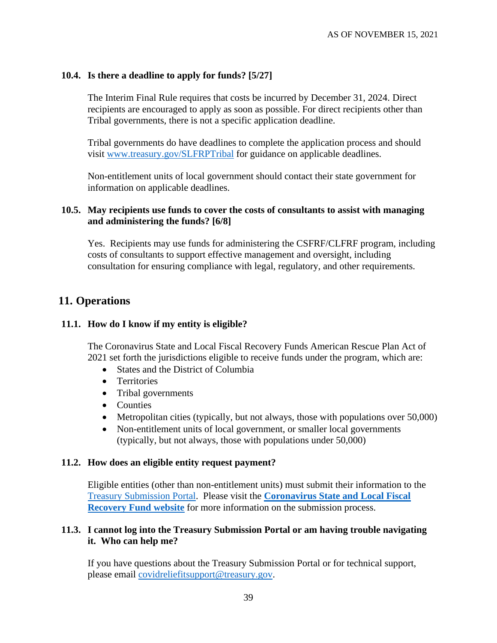#### <span id="page-38-0"></span>**10.4. Is there a deadline to apply for funds? [5/27]**

The Interim Final Rule requires that costs be incurred by December 31, 2024. Direct recipients are encouraged to apply as soon as possible. For direct recipients other than Tribal governments, there is not a specific application deadline.

Tribal governments do have deadlines to complete the application process and should visit [www.treasury.gov/SLFRPTribal](http://www.treasury.gov/SLFRPTribal) for guidance on applicable deadlines.

Non-entitlement units of local government should contact their state government for information on applicable deadlines.

#### <span id="page-38-1"></span>**10.5. May recipients use funds to cover the costs of consultants to assist with managing and administering the funds? [6/8]**

Yes. Recipients may use funds for administering the CSFRF/CLFRF program, including costs of consultants to support effective management and oversight, including consultation for ensuring compliance with legal, regulatory, and other requirements.

## **11. Operations**

#### **11.1. How do I know if my entity is eligible?**

The Coronavirus State and Local Fiscal Recovery Funds American Rescue Plan Act of 2021 set forth the jurisdictions eligible to receive funds under the program, which are:

- States and the District of Columbia
- Territories
- Tribal governments
- Counties
- Metropolitan cities (typically, but not always, those with populations over 50,000)
- Non-entitlement units of local government, or smaller local governments (typically, but not always, those with populations under 50,000)

#### **11.2. How does an eligible entity request payment?**

Eligible entities (other than non-entitlement units) must submit their information to the [Treasury Submission Portal.](https://portal.treasury.gov/cares/s/slt) Please visit the **[Coronavirus State and Local Fiscal](https://home.treasury.gov/policy-issues/coronavirus/assistance-for-state-local-and-tribal-governments/state-and-local-fiscal-recovery-fund)  [Recovery Fund website](https://home.treasury.gov/policy-issues/coronavirus/assistance-for-state-local-and-tribal-governments/state-and-local-fiscal-recovery-fund)** for more information on the submission process.

#### **11.3. I cannot log into the Treasury Submission Portal or am having trouble navigating it. Who can help me?**

If you have questions about the Treasury Submission Portal or for technical support, please email [covidreliefitsupport@treasury.gov.](mailto:covidreliefitsupport@treasury.gov)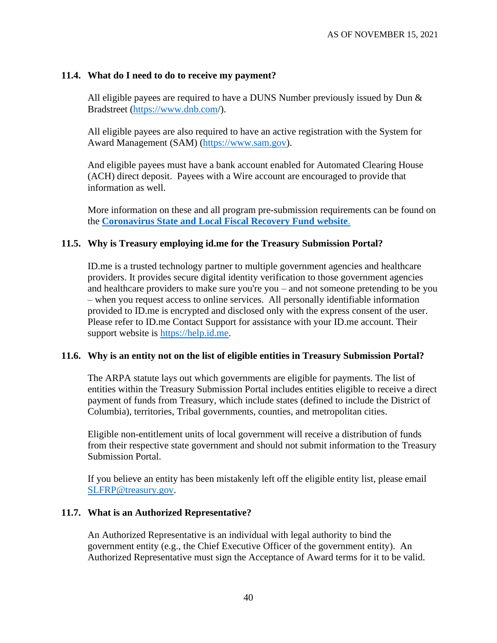#### **11.4. What do I need to do to receive my payment?**

All eligible payees are required to have a DUNS Number previously issued by Dun  $\&$ Bradstreet [\(https://www.dnb.com/](https://www.dnb.com/)).

All eligible payees are also required to have an active registration with the System for Award Management (SAM) [\(https://www.sam.gov\)](https://www.sam.gov/).

And eligible payees must have a bank account enabled for Automated Clearing House (ACH) direct deposit. Payees with a Wire account are encouraged to provide that information as well.

More information on these and all program pre-submission requirements can be found on the **[Coronavirus State and Local Fiscal Recovery Fund website](https://home.treasury.gov/policy-issues/coronavirus/assistance-for-state-local-and-tribal-governments/state-and-local-fiscal-recovery-fund)**.

#### **11.5. Why is Treasury employing id.me for the Treasury Submission Portal?**

ID.me is a trusted technology partner to multiple government agencies and healthcare providers. It provides secure digital identity verification to those government agencies and healthcare providers to make sure you're you – and not someone pretending to be you – when you request access to online services. All personally identifiable information provided to ID.me is encrypted and disclosed only with the express consent of the user. Please refer to ID.me Contact Support for assistance with your ID.me account. Their support website is [https://help.id.me.](https://help.id.me/)

#### **11.6. Why is an entity not on the list of eligible entities in Treasury Submission Portal?**

The ARPA statute lays out which governments are eligible for payments. The list of entities within the Treasury Submission Portal includes entities eligible to receive a direct payment of funds from Treasury, which include states (defined to include the District of Columbia), territories, Tribal governments, counties, and metropolitan cities.

Eligible non-entitlement units of local government will receive a distribution of funds from their respective state government and should not submit information to the Treasury Submission Portal.

If you believe an entity has been mistakenly left off the eligible entity list, please email [SLFRP@treasury.gov.](mailto:SLFRP@treasury.gov)

#### **11.7. What is an Authorized Representative?**

An Authorized Representative is an individual with legal authority to bind the government entity (e.g., the Chief Executive Officer of the government entity). An Authorized Representative must sign the Acceptance of Award terms for it to be valid.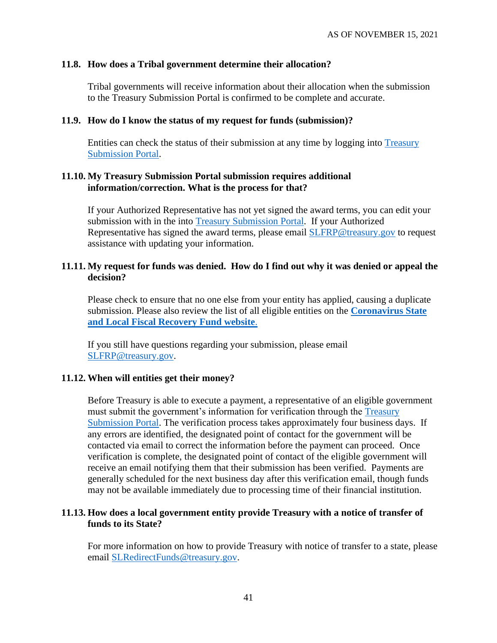#### **11.8. How does a Tribal government determine their allocation?**

Tribal governments will receive information about their allocation when the submission to the Treasury Submission Portal is confirmed to be complete and accurate.

#### **11.9. How do I know the status of my request for funds (submission)?**

Entities can check the status of their submission at any time by logging into [Treasury](https://portal.treasury.gov/cares/s/slt)  [Submission Portal.](https://portal.treasury.gov/cares/s/slt)

## **11.10. My Treasury Submission Portal submission requires additional information/correction. What is the process for that?**

If your Authorized Representative has not yet signed the award terms, you can edit your submission with in the into [Treasury Submission Portal.](https://portal.treasury.gov/cares/s/slt) If your Authorized Representative has signed the award terms, please email **SLFRP@treasury.gov** to request assistance with updating your information.

#### **11.11. My request for funds was denied. How do I find out why it was denied or appeal the decision?**

Please check to ensure that no one else from your entity has applied, causing a duplicate submission. Please also review the list of all eligible entities on the **[Coronavirus State](https://home.treasury.gov/policy-issues/coronavirus/assistance-for-state-local-and-tribal-governments/state-and-local-fiscal-recovery-fund)  [and Local Fiscal Recovery Fund website](https://home.treasury.gov/policy-issues/coronavirus/assistance-for-state-local-and-tribal-governments/state-and-local-fiscal-recovery-fund)**.

If you still have questions regarding your submission, please email [SLFRP@treasury.gov.](mailto:SLFRP@treasury.gov)

#### **11.12. When will entities get their money?**

Before Treasury is able to execute a payment, a representative of an eligible government must submit the government's information for verification through the [Treasury](https://portal.treasury.gov/cares/s/slt)  [Submission Portal.](https://portal.treasury.gov/cares/s/slt) The verification process takes approximately four business days. If any errors are identified, the designated point of contact for the government will be contacted via email to correct the information before the payment can proceed. Once verification is complete, the designated point of contact of the eligible government will receive an email notifying them that their submission has been verified. Payments are generally scheduled for the next business day after this verification email, though funds may not be available immediately due to processing time of their financial institution.

#### **11.13. How does a local government entity provide Treasury with a notice of transfer of funds to its State?**

For more information on how to provide Treasury with notice of transfer to a state, please email [SLRedirectFunds@treasury.gov.](mailto:SLRedirectFunds@treasury.gov)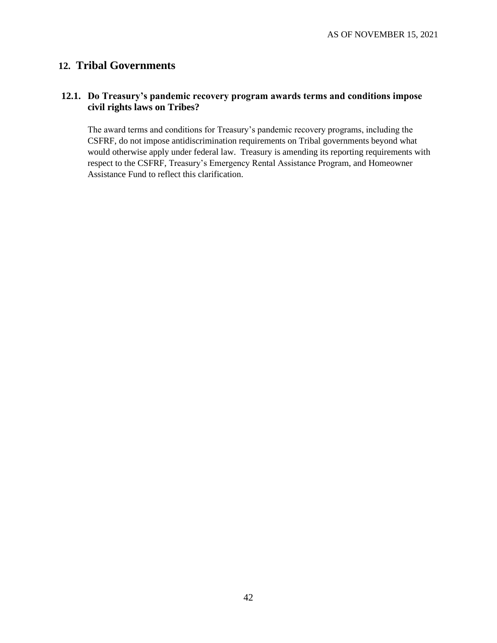# **12. Tribal Governments**

## **12.1. Do Treasury's pandemic recovery program awards terms and conditions impose civil rights laws on Tribes?**

The award terms and conditions for Treasury's pandemic recovery programs, including the CSFRF, do not impose antidiscrimination requirements on Tribal governments beyond what would otherwise apply under federal law. Treasury is amending its reporting requirements with respect to the CSFRF, Treasury's Emergency Rental Assistance Program, and Homeowner Assistance Fund to reflect this clarification.